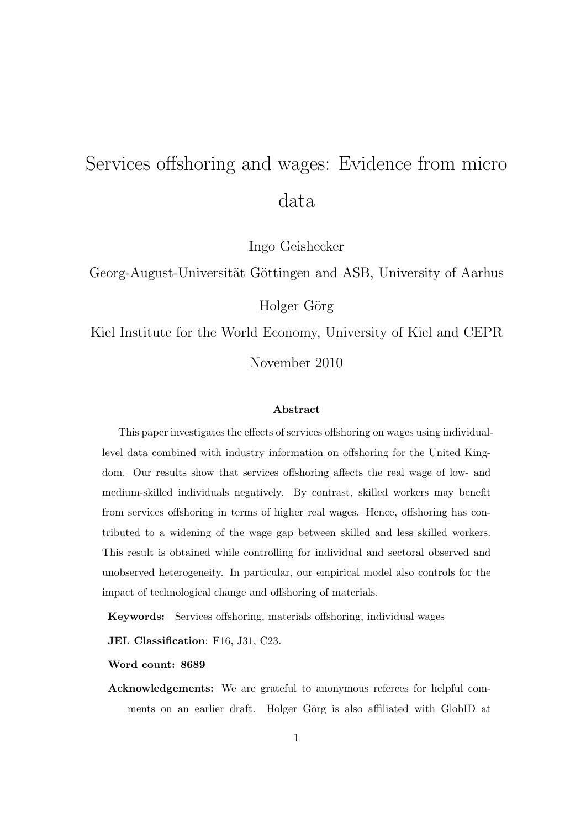# Services offshoring and wages: Evidence from micro data

Ingo Geishecker

Georg-August-Universität Göttingen and ASB, University of Aarhus

Holger Görg

Kiel Institute for the World Economy, University of Kiel and CEPR November 2010

#### **Abstract**

This paper investigates the effects of services offshoring on wages using individuallevel data combined with industry information on offshoring for the United Kingdom. Our results show that services offshoring affects the real wage of low- and medium-skilled individuals negatively. By contrast, skilled workers may benefit from services offshoring in terms of higher real wages. Hence, offshoring has contributed to a widening of the wage gap between skilled and less skilled workers. This result is obtained while controlling for individual and sectoral observed and unobserved heterogeneity. In particular, our empirical model also controls for the impact of technological change and offshoring of materials.

**Keywords:** Services offshoring, materials offshoring, individual wages

**JEL Classification**: F16, J31, C23.

**Word count: 8689**

**Acknowledgements:** We are grateful to anonymous referees for helpful comments on an earlier draft. Holger Görg is also affiliated with GlobID at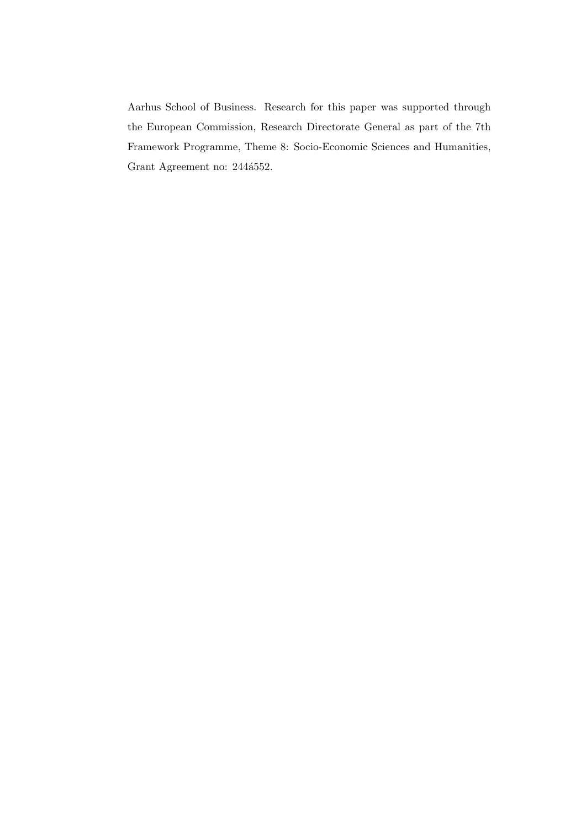Aarhus School of Business. Research for this paper was supported through the European Commission, Research Directorate General as part of the 7th Framework Programme, Theme 8: Socio-Economic Sciences and Humanities, Grant Agreement no: 244 $4552$ .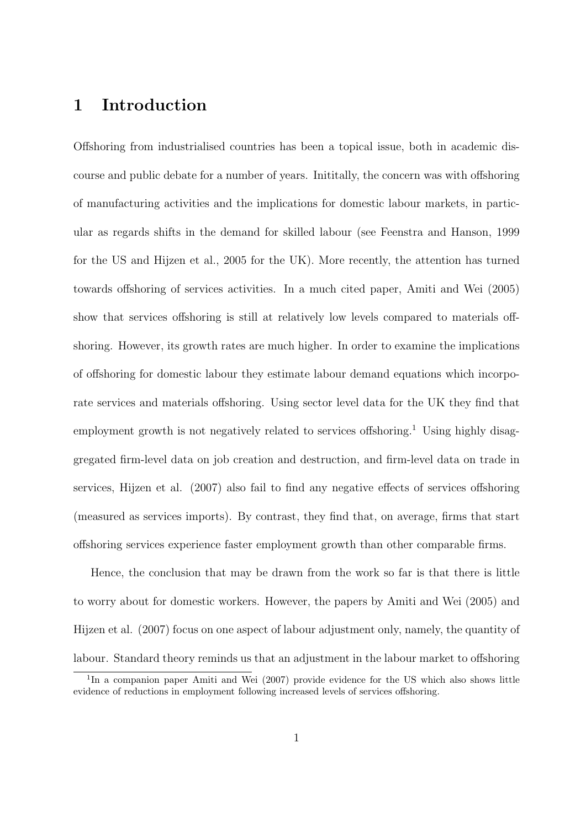### **1 Introduction**

Offshoring from industrialised countries has been a topical issue, both in academic discourse and public debate for a number of years. Inititally, the concern was with offshoring of manufacturing activities and the implications for domestic labour markets, in particular as regards shifts in the demand for skilled labour (see Feenstra and Hanson, 1999 for the US and Hijzen et al., 2005 for the UK). More recently, the attention has turned towards offshoring of services activities. In a much cited paper, Amiti and Wei (2005) show that services offshoring is still at relatively low levels compared to materials offshoring. However, its growth rates are much higher. In order to examine the implications of offshoring for domestic labour they estimate labour demand equations which incorporate services and materials offshoring. Using sector level data for the UK they find that employment growth is not negatively related to services offshoring.<sup>1</sup> Using highly disaggregated firm-level data on job creation and destruction, and firm-level data on trade in services, Hijzen et al. (2007) also fail to find any negative effects of services offshoring (measured as services imports). By contrast, they find that, on average, firms that start offshoring services experience faster employment growth than other comparable firms.

Hence, the conclusion that may be drawn from the work so far is that there is little to worry about for domestic workers. However, the papers by Amiti and Wei (2005) and Hijzen et al. (2007) focus on one aspect of labour adjustment only, namely, the quantity of labour. Standard theory reminds us that an adjustment in the labour market to offshoring

<sup>&</sup>lt;sup>1</sup>In a companion paper Amiti and Wei (2007) provide evidence for the US which also shows little evidence of reductions in employment following increased levels of services offshoring.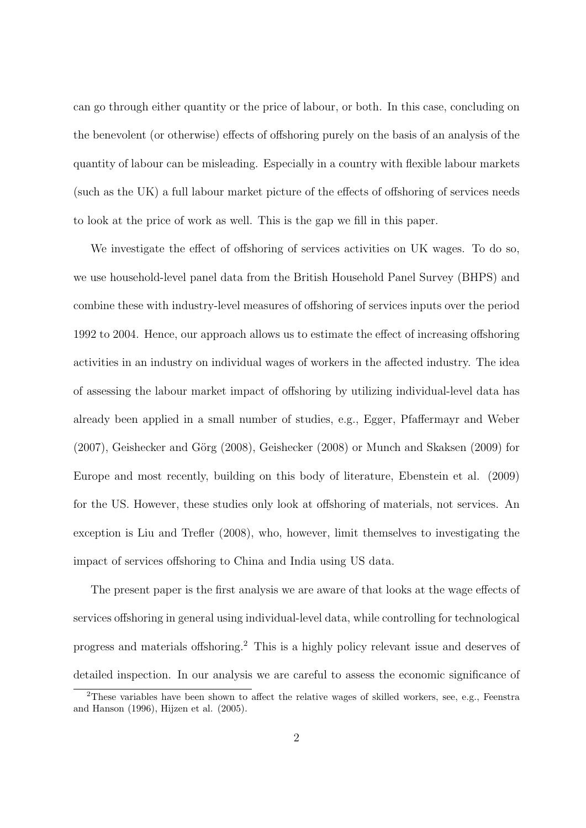can go through either quantity or the price of labour, or both. In this case, concluding on the benevolent (or otherwise) effects of offshoring purely on the basis of an analysis of the quantity of labour can be misleading. Especially in a country with flexible labour markets (such as the UK) a full labour market picture of the effects of offshoring of services needs to look at the price of work as well. This is the gap we fill in this paper.

We investigate the effect of offshoring of services activities on UK wages. To do so, we use household-level panel data from the British Household Panel Survey (BHPS) and combine these with industry-level measures of offshoring of services inputs over the period 1992 to 2004. Hence, our approach allows us to estimate the effect of increasing offshoring activities in an industry on individual wages of workers in the affected industry. The idea of assessing the labour market impact of offshoring by utilizing individual-level data has already been applied in a small number of studies, e.g., Egger, Pfaffermayr and Weber  $(2007)$ , Geishecker and Görg  $(2008)$ , Geishecker  $(2008)$  or Munch and Skaksen  $(2009)$  for Europe and most recently, building on this body of literature, Ebenstein et al. (2009) for the US. However, these studies only look at offshoring of materials, not services. An exception is Liu and Trefler (2008), who, however, limit themselves to investigating the impact of services offshoring to China and India using US data.

The present paper is the first analysis we are aware of that looks at the wage effects of services offshoring in general using individual-level data, while controlling for technological progress and materials offshoring.<sup>2</sup> This is a highly policy relevant issue and deserves of detailed inspection. In our analysis we are careful to assess the economic significance of

<sup>&</sup>lt;sup>2</sup>These variables have been shown to affect the relative wages of skilled workers, see, e.g., Feenstra and Hanson (1996), Hijzen et al. (2005).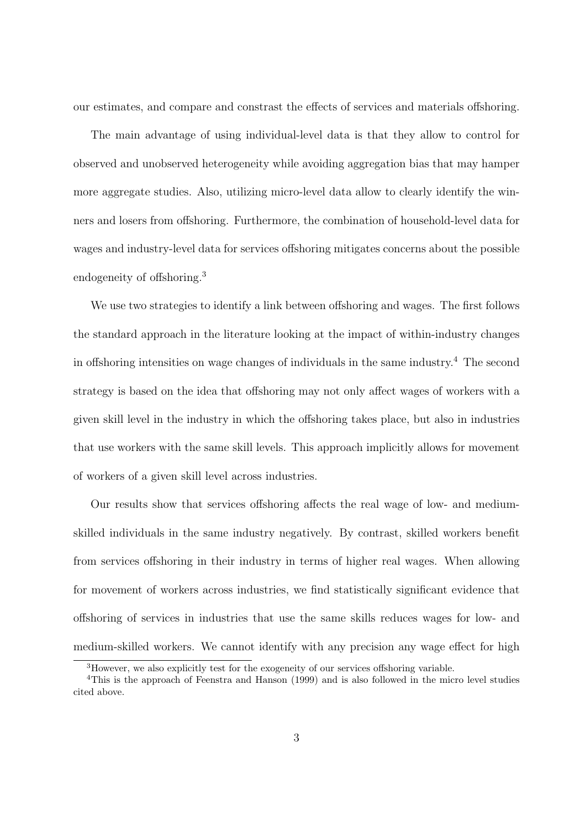our estimates, and compare and constrast the effects of services and materials offshoring.

The main advantage of using individual-level data is that they allow to control for observed and unobserved heterogeneity while avoiding aggregation bias that may hamper more aggregate studies. Also, utilizing micro-level data allow to clearly identify the winners and losers from offshoring. Furthermore, the combination of household-level data for wages and industry-level data for services offshoring mitigates concerns about the possible endogeneity of offshoring.<sup>3</sup>

We use two strategies to identify a link between offshoring and wages. The first follows the standard approach in the literature looking at the impact of within-industry changes in offshoring intensities on wage changes of individuals in the same industry.<sup>4</sup> The second strategy is based on the idea that offshoring may not only affect wages of workers with a given skill level in the industry in which the offshoring takes place, but also in industries that use workers with the same skill levels. This approach implicitly allows for movement of workers of a given skill level across industries.

Our results show that services offshoring affects the real wage of low- and mediumskilled individuals in the same industry negatively. By contrast, skilled workers benefit from services offshoring in their industry in terms of higher real wages. When allowing for movement of workers across industries, we find statistically significant evidence that offshoring of services in industries that use the same skills reduces wages for low- and medium-skilled workers. We cannot identify with any precision any wage effect for high

<sup>3</sup>However, we also explicitly test for the exogeneity of our services offshoring variable.

<sup>4</sup>This is the approach of Feenstra and Hanson (1999) and is also followed in the micro level studies cited above.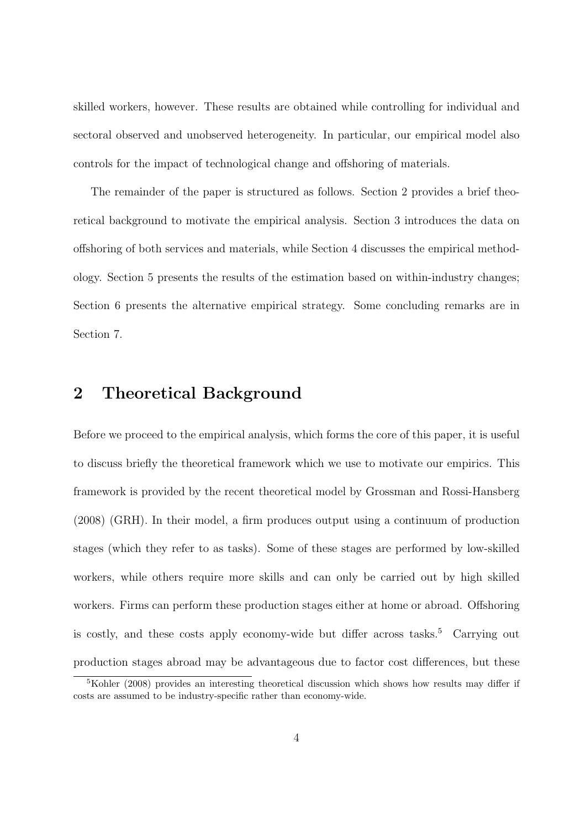skilled workers, however. These results are obtained while controlling for individual and sectoral observed and unobserved heterogeneity. In particular, our empirical model also controls for the impact of technological change and offshoring of materials.

The remainder of the paper is structured as follows. Section 2 provides a brief theoretical background to motivate the empirical analysis. Section 3 introduces the data on offshoring of both services and materials, while Section 4 discusses the empirical methodology. Section 5 presents the results of the estimation based on within-industry changes; Section 6 presents the alternative empirical strategy. Some concluding remarks are in Section 7.

#### **2 Theoretical Background**

Before we proceed to the empirical analysis, which forms the core of this paper, it is useful to discuss briefly the theoretical framework which we use to motivate our empirics. This framework is provided by the recent theoretical model by Grossman and Rossi-Hansberg (2008) (GRH). In their model, a firm produces output using a continuum of production stages (which they refer to as tasks). Some of these stages are performed by low-skilled workers, while others require more skills and can only be carried out by high skilled workers. Firms can perform these production stages either at home or abroad. Offshoring is costly, and these costs apply economy-wide but differ across tasks.<sup>5</sup> Carrying out production stages abroad may be advantageous due to factor cost differences, but these

<sup>&</sup>lt;sup>5</sup>Kohler (2008) provides an interesting theoretical discussion which shows how results may differ if costs are assumed to be industry-specific rather than economy-wide.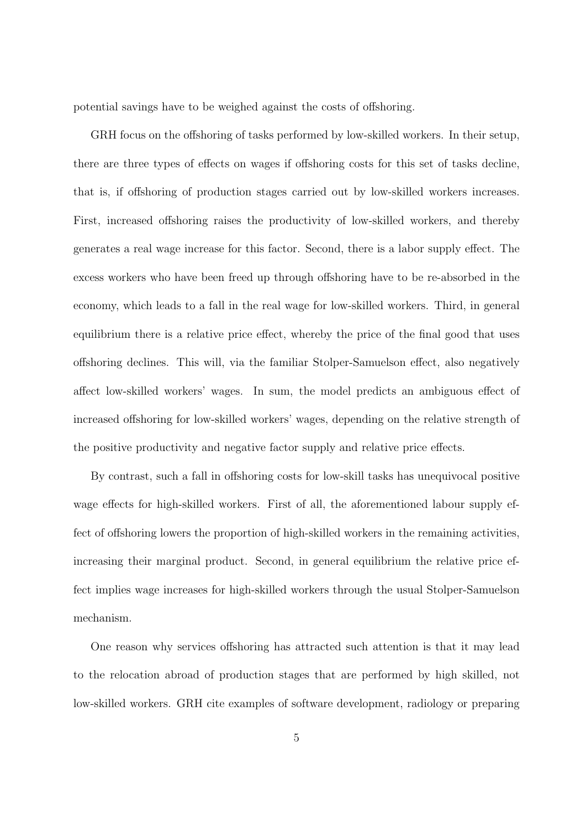potential savings have to be weighed against the costs of offshoring.

GRH focus on the offshoring of tasks performed by low-skilled workers. In their setup, there are three types of effects on wages if offshoring costs for this set of tasks decline, that is, if offshoring of production stages carried out by low-skilled workers increases. First, increased offshoring raises the productivity of low-skilled workers, and thereby generates a real wage increase for this factor. Second, there is a labor supply effect. The excess workers who have been freed up through offshoring have to be re-absorbed in the economy, which leads to a fall in the real wage for low-skilled workers. Third, in general equilibrium there is a relative price effect, whereby the price of the final good that uses offshoring declines. This will, via the familiar Stolper-Samuelson effect, also negatively affect low-skilled workers' wages. In sum, the model predicts an ambiguous effect of increased offshoring for low-skilled workers' wages, depending on the relative strength of the positive productivity and negative factor supply and relative price effects.

By contrast, such a fall in offshoring costs for low-skill tasks has unequivocal positive wage effects for high-skilled workers. First of all, the aforementioned labour supply effect of offshoring lowers the proportion of high-skilled workers in the remaining activities, increasing their marginal product. Second, in general equilibrium the relative price effect implies wage increases for high-skilled workers through the usual Stolper-Samuelson mechanism.

One reason why services offshoring has attracted such attention is that it may lead to the relocation abroad of production stages that are performed by high skilled, not low-skilled workers. GRH cite examples of software development, radiology or preparing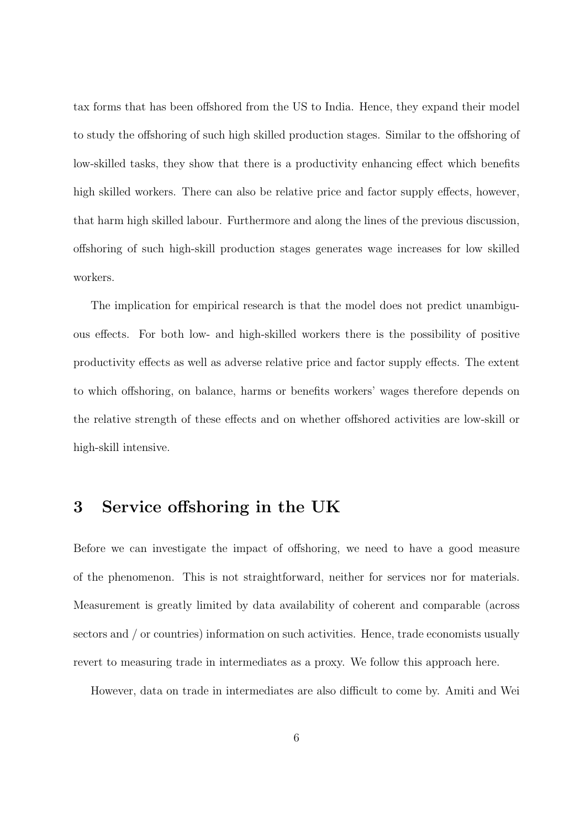tax forms that has been offshored from the US to India. Hence, they expand their model to study the offshoring of such high skilled production stages. Similar to the offshoring of low-skilled tasks, they show that there is a productivity enhancing effect which benefits high skilled workers. There can also be relative price and factor supply effects, however, that harm high skilled labour. Furthermore and along the lines of the previous discussion, offshoring of such high-skill production stages generates wage increases for low skilled workers.

The implication for empirical research is that the model does not predict unambiguous effects. For both low- and high-skilled workers there is the possibility of positive productivity effects as well as adverse relative price and factor supply effects. The extent to which offshoring, on balance, harms or benefits workers' wages therefore depends on the relative strength of these effects and on whether offshored activities are low-skill or high-skill intensive.

#### **3 Service offshoring in the UK**

Before we can investigate the impact of offshoring, we need to have a good measure of the phenomenon. This is not straightforward, neither for services nor for materials. Measurement is greatly limited by data availability of coherent and comparable (across sectors and / or countries) information on such activities. Hence, trade economists usually revert to measuring trade in intermediates as a proxy. We follow this approach here.

However, data on trade in intermediates are also difficult to come by. Amiti and Wei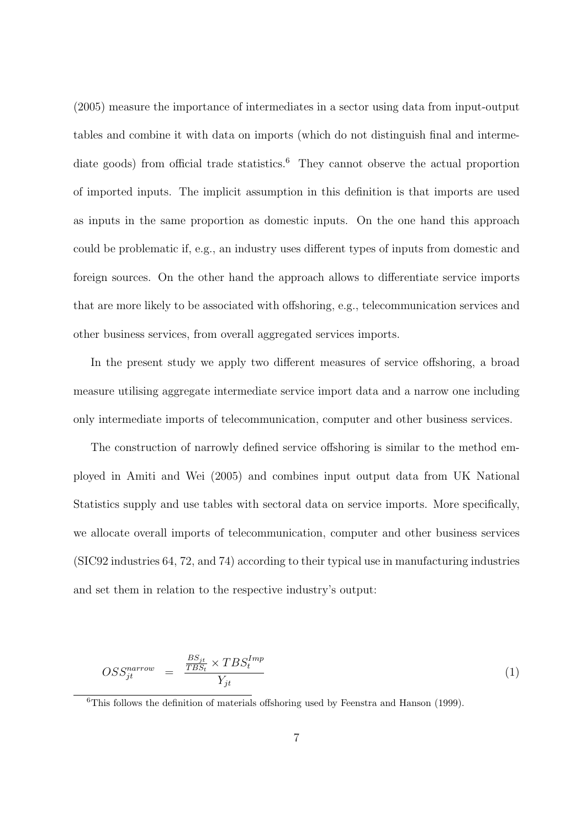(2005) measure the importance of intermediates in a sector using data from input-output tables and combine it with data on imports (which do not distinguish final and intermediate goods) from official trade statistics.<sup>6</sup> They cannot observe the actual proportion of imported inputs. The implicit assumption in this definition is that imports are used as inputs in the same proportion as domestic inputs. On the one hand this approach could be problematic if, e.g., an industry uses different types of inputs from domestic and foreign sources. On the other hand the approach allows to differentiate service imports that are more likely to be associated with offshoring, e.g., telecommunication services and other business services, from overall aggregated services imports.

In the present study we apply two different measures of service offshoring, a broad measure utilising aggregate intermediate service import data and a narrow one including only intermediate imports of telecommunication, computer and other business services.

The construction of narrowly defined service offshoring is similar to the method employed in Amiti and Wei (2005) and combines input output data from UK National Statistics supply and use tables with sectoral data on service imports. More specifically, we allocate overall imports of telecommunication, computer and other business services (SIC92 industries 64, 72, and 74) according to their typical use in manufacturing industries and set them in relation to the respective industry's output:

$$
OSS_{jt}^{narrow} = \frac{\frac{BS_{jt}}{TBS_t} \times TBS_t^{Imp}}{Y_{jt}} \tag{1}
$$

<sup>6</sup>This follows the definition of materials offshoring used by Feenstra and Hanson (1999).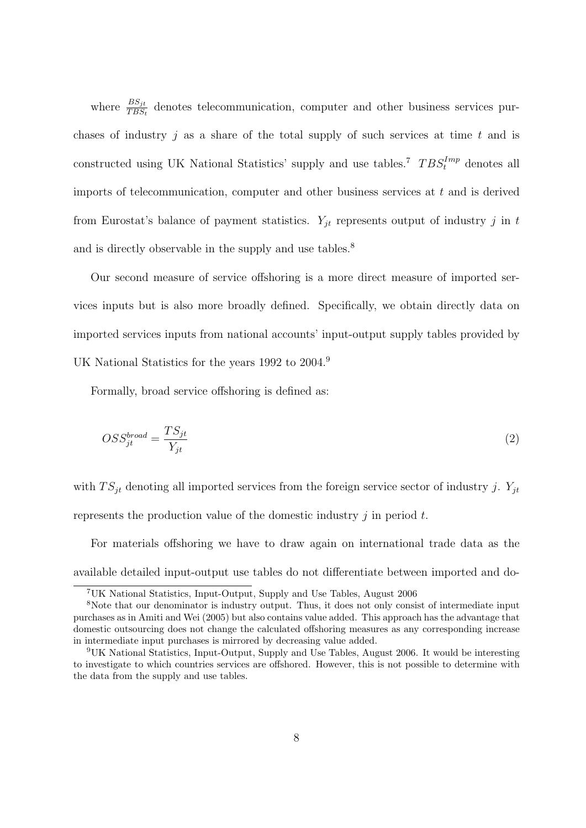where  $\frac{BS_{jt}}{TBS_t}$  denotes telecommunication, computer and other business services purchases of industry *j* as a share of the total supply of such services at time *t* and is constructed using UK National Statistics' supply and use tables.<sup>7</sup>  $TBS_t^{Imp}$  denotes all imports of telecommunication, computer and other business services at *t* and is derived from Eurostat's balance of payment statistics.  $Y_{it}$  represents output of industry *j* in *t* and is directly observable in the supply and use tables.<sup>8</sup>

Our second measure of service offshoring is a more direct measure of imported services inputs but is also more broadly defined. Specifically, we obtain directly data on imported services inputs from national accounts' input-output supply tables provided by UK National Statistics for the years 1992 to 2004.<sup>9</sup>

Formally, broad service offshoring is defined as:

$$
OSS_{jt}^{broad} = \frac{TS_{jt}}{Y_{jt}}\tag{2}
$$

with  $TS_{jt}$  denoting all imported services from the foreign service sector of industry *j*.  $Y_{jt}$ represents the production value of the domestic industry *j* in period *t*.

For materials offshoring we have to draw again on international trade data as the available detailed input-output use tables do not differentiate between imported and do-

<sup>7</sup>UK National Statistics, Input-Output, Supply and Use Tables, August 2006

<sup>8</sup>Note that our denominator is industry output. Thus, it does not only consist of intermediate input purchases as in Amiti and Wei (2005) but also contains value added. This approach has the advantage that domestic outsourcing does not change the calculated offshoring measures as any corresponding increase in intermediate input purchases is mirrored by decreasing value added.

<sup>9</sup>UK National Statistics, Input-Output, Supply and Use Tables, August 2006. It would be interesting to investigate to which countries services are offshored. However, this is not possible to determine with the data from the supply and use tables.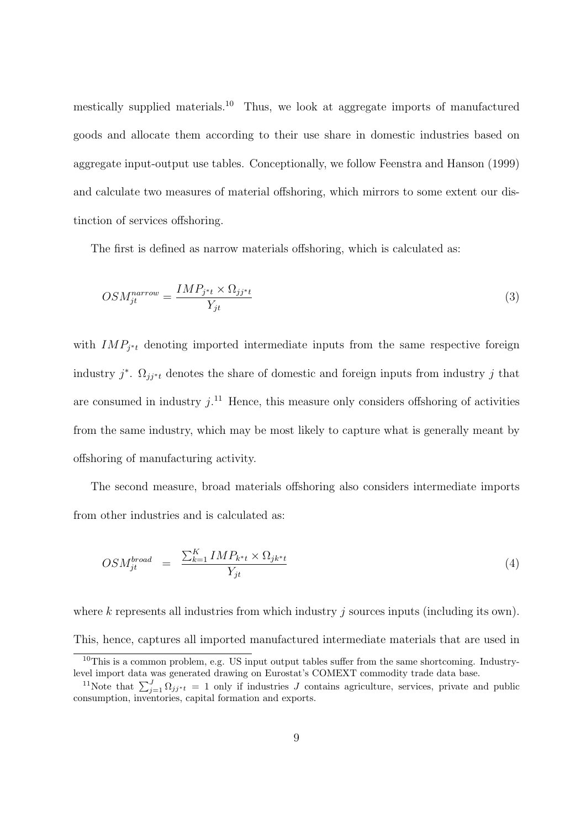mestically supplied materials.<sup>10</sup> Thus, we look at aggregate imports of manufactured goods and allocate them according to their use share in domestic industries based on aggregate input-output use tables. Conceptionally, we follow Feenstra and Hanson (1999) and calculate two measures of material offshoring, which mirrors to some extent our distinction of services offshoring.

The first is defined as narrow materials offshoring, which is calculated as:

$$
OSM_{jt}^{narrow} = \frac{IMP_{j*t} \times \Omega_{jj*t}}{Y_{jt}} \tag{3}
$$

with  $IMP_{j*t}$  denoting imported intermediate inputs from the same respective foreign industry  $j^*$ .  $\Omega_{jj^*t}$  denotes the share of domestic and foreign inputs from industry  $j$  that are consumed in industry  $j$ <sup>11</sup>. Hence, this measure only considers offshoring of activities from the same industry, which may be most likely to capture what is generally meant by offshoring of manufacturing activity.

The second measure, broad materials offshoring also considers intermediate imports from other industries and is calculated as:

$$
OSM_{jt}^{broad} = \frac{\sum_{k=1}^{K} IMP_{k^{*}t} \times \Omega_{jk^{*}t}}{Y_{jt}}
$$
\n
$$
(4)
$$

where *k* represents all industries from which industry *j* sources inputs (including its own). This, hence, captures all imported manufactured intermediate materials that are used in

 $10$ This is a common problem, e.g. US input output tables suffer from the same shortcoming. Industrylevel import data was generated drawing on Eurostat's COMEXT commodity trade data base.

<sup>&</sup>lt;sup>11</sup>Note that  $\sum_{j=1}^{J} \Omega_{jj^*t} = 1$  only if industries *J* contains agriculture, services, private and public consumption, inventories, capital formation and exports.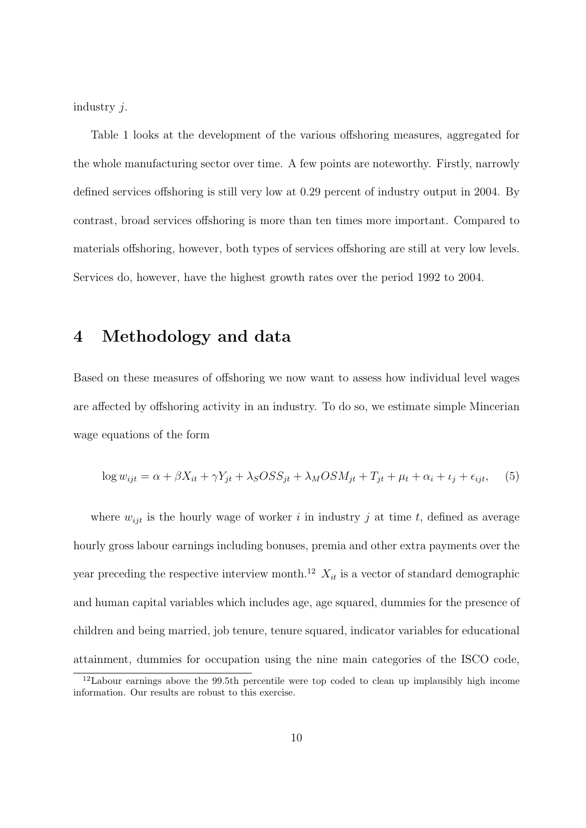industry *j*.

Table 1 looks at the development of the various offshoring measures, aggregated for the whole manufacturing sector over time. A few points are noteworthy. Firstly, narrowly defined services offshoring is still very low at 0.29 percent of industry output in 2004. By contrast, broad services offshoring is more than ten times more important. Compared to materials offshoring, however, both types of services offshoring are still at very low levels. Services do, however, have the highest growth rates over the period 1992 to 2004.

#### **4 Methodology and data**

Based on these measures of offshoring we now want to assess how individual level wages are affected by offshoring activity in an industry. To do so, we estimate simple Mincerian wage equations of the form

$$
\log w_{ijt} = \alpha + \beta X_{it} + \gamma Y_{jt} + \lambda_S OSS_{jt} + \lambda_M OSM_{jt} + T_{jt} + \mu_t + \alpha_i + \iota_j + \epsilon_{ijt}, \quad (5)
$$

where  $w_{ijt}$  is the hourly wage of worker *i* in industry *j* at time *t*, defined as average hourly gross labour earnings including bonuses, premia and other extra payments over the year preceding the respective interview month.<sup>12</sup>  $X_{it}$  is a vector of standard demographic and human capital variables which includes age, age squared, dummies for the presence of children and being married, job tenure, tenure squared, indicator variables for educational attainment, dummies for occupation using the nine main categories of the ISCO code,

<sup>&</sup>lt;sup>12</sup>Labour earnings above the 99.5th percentile were top coded to clean up implausibly high income information. Our results are robust to this exercise.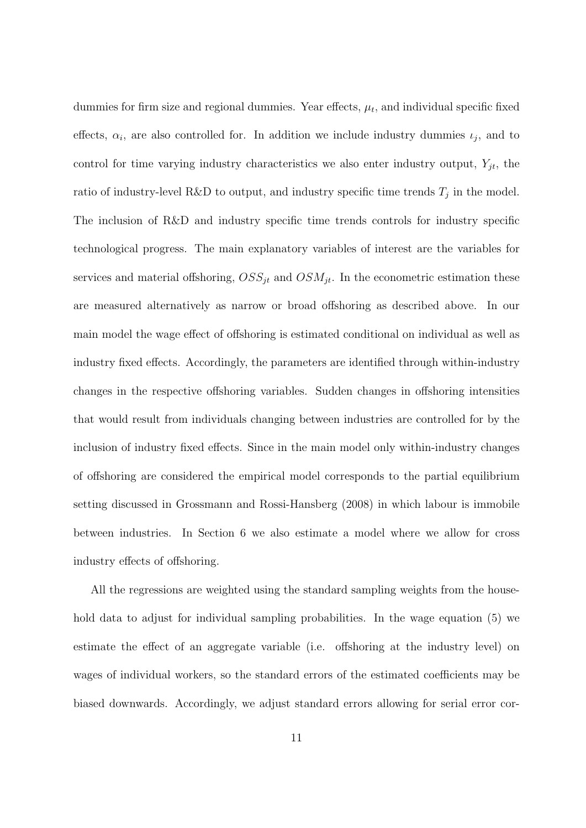dummies for firm size and regional dummies. Year effects,  $\mu_t$ , and individual specific fixed effects,  $\alpha_i$ , are also controlled for. In addition we include industry dummies  $\iota_j$ , and to control for time varying industry characteristics we also enter industry output,  $Y_{jt}$ , the ratio of industry-level R&D to output, and industry specific time trends  $T_j$  in the model. The inclusion of R&D and industry specific time trends controls for industry specific technological progress. The main explanatory variables of interest are the variables for services and material offshoring,  $OSS_{jt}$  and  $OSM_{jt}$ . In the econometric estimation these are measured alternatively as narrow or broad offshoring as described above. In our main model the wage effect of offshoring is estimated conditional on individual as well as industry fixed effects. Accordingly, the parameters are identified through within-industry changes in the respective offshoring variables. Sudden changes in offshoring intensities that would result from individuals changing between industries are controlled for by the inclusion of industry fixed effects. Since in the main model only within-industry changes of offshoring are considered the empirical model corresponds to the partial equilibrium setting discussed in Grossmann and Rossi-Hansberg (2008) in which labour is immobile between industries. In Section 6 we also estimate a model where we allow for cross industry effects of offshoring.

All the regressions are weighted using the standard sampling weights from the household data to adjust for individual sampling probabilities. In the wage equation (5) we estimate the effect of an aggregate variable (i.e. offshoring at the industry level) on wages of individual workers, so the standard errors of the estimated coefficients may be biased downwards. Accordingly, we adjust standard errors allowing for serial error cor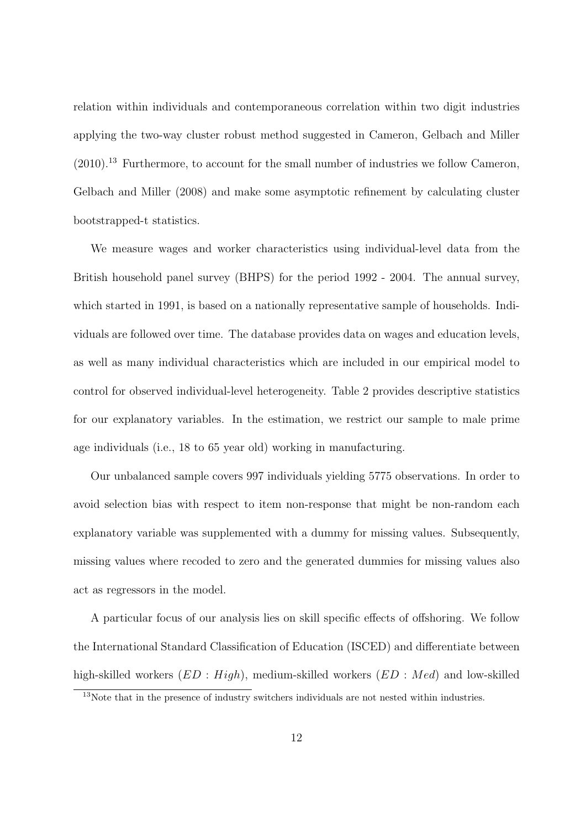relation within individuals and contemporaneous correlation within two digit industries applying the two-way cluster robust method suggested in Cameron, Gelbach and Miller  $(2010).$ <sup>13</sup> Furthermore, to account for the small number of industries we follow Cameron, Gelbach and Miller (2008) and make some asymptotic refinement by calculating cluster bootstrapped-t statistics.

We measure wages and worker characteristics using individual-level data from the British household panel survey (BHPS) for the period 1992 - 2004. The annual survey, which started in 1991, is based on a nationally representative sample of households. Individuals are followed over time. The database provides data on wages and education levels, as well as many individual characteristics which are included in our empirical model to control for observed individual-level heterogeneity. Table 2 provides descriptive statistics for our explanatory variables. In the estimation, we restrict our sample to male prime age individuals (i.e., 18 to 65 year old) working in manufacturing.

Our unbalanced sample covers 997 individuals yielding 5775 observations. In order to avoid selection bias with respect to item non-response that might be non-random each explanatory variable was supplemented with a dummy for missing values. Subsequently, missing values where recoded to zero and the generated dummies for missing values also act as regressors in the model.

A particular focus of our analysis lies on skill specific effects of offshoring. We follow the International Standard Classification of Education (ISCED) and differentiate between high-skilled workers (*ED* : *High*), medium-skilled workers (*ED* : *Med*) and low-skilled

<sup>&</sup>lt;sup>13</sup>Note that in the presence of industry switchers individuals are not nested within industries.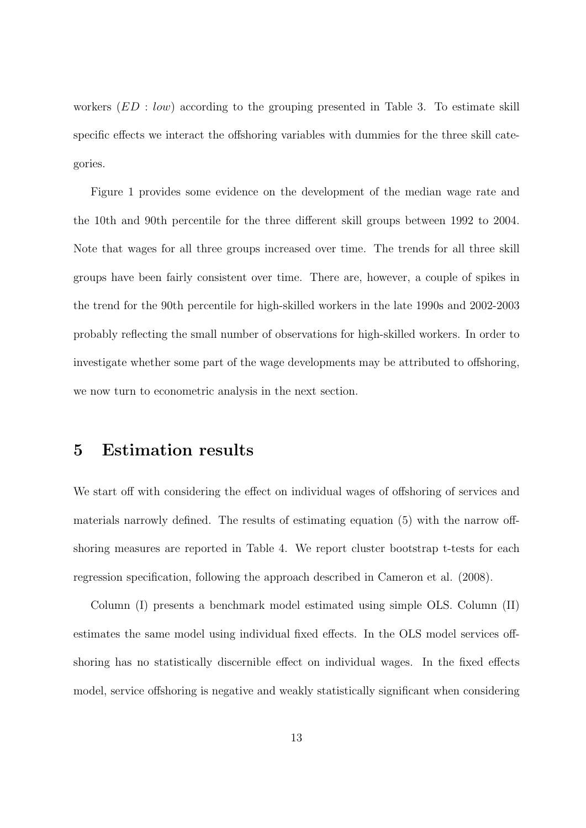workers (*ED* : *low*) according to the grouping presented in Table 3. To estimate skill specific effects we interact the offshoring variables with dummies for the three skill categories.

Figure 1 provides some evidence on the development of the median wage rate and the 10th and 90th percentile for the three different skill groups between 1992 to 2004. Note that wages for all three groups increased over time. The trends for all three skill groups have been fairly consistent over time. There are, however, a couple of spikes in the trend for the 90th percentile for high-skilled workers in the late 1990s and 2002-2003 probably reflecting the small number of observations for high-skilled workers. In order to investigate whether some part of the wage developments may be attributed to offshoring, we now turn to econometric analysis in the next section.

#### **5 Estimation results**

We start off with considering the effect on individual wages of offshoring of services and materials narrowly defined. The results of estimating equation (5) with the narrow offshoring measures are reported in Table 4. We report cluster bootstrap t-tests for each regression specification, following the approach described in Cameron et al. (2008).

Column (I) presents a benchmark model estimated using simple OLS. Column (II) estimates the same model using individual fixed effects. In the OLS model services offshoring has no statistically discernible effect on individual wages. In the fixed effects model, service offshoring is negative and weakly statistically significant when considering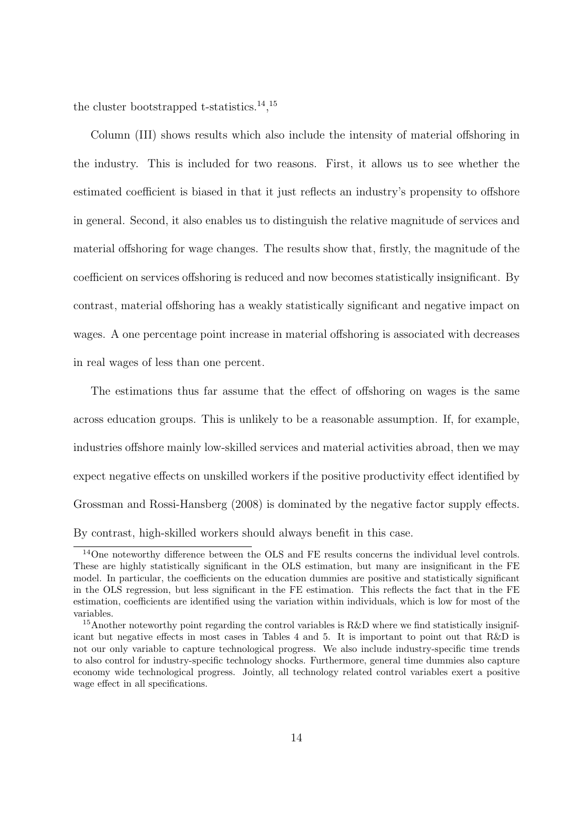the cluster bootstrapped t-statistics.<sup>14</sup>,<sup>15</sup>

Column (III) shows results which also include the intensity of material offshoring in the industry. This is included for two reasons. First, it allows us to see whether the estimated coefficient is biased in that it just reflects an industry's propensity to offshore in general. Second, it also enables us to distinguish the relative magnitude of services and material offshoring for wage changes. The results show that, firstly, the magnitude of the coefficient on services offshoring is reduced and now becomes statistically insignificant. By contrast, material offshoring has a weakly statistically significant and negative impact on wages. A one percentage point increase in material offshoring is associated with decreases in real wages of less than one percent.

The estimations thus far assume that the effect of offshoring on wages is the same across education groups. This is unlikely to be a reasonable assumption. If, for example, industries offshore mainly low-skilled services and material activities abroad, then we may expect negative effects on unskilled workers if the positive productivity effect identified by Grossman and Rossi-Hansberg (2008) is dominated by the negative factor supply effects.

By contrast, high-skilled workers should always benefit in this case.

<sup>14</sup>One noteworthy difference between the OLS and FE results concerns the individual level controls. These are highly statistically significant in the OLS estimation, but many are insignificant in the FE model. In particular, the coefficients on the education dummies are positive and statistically significant in the OLS regression, but less significant in the FE estimation. This reflects the fact that in the FE estimation, coefficients are identified using the variation within individuals, which is low for most of the variables.

<sup>&</sup>lt;sup>15</sup>Another noteworthy point regarding the control variables is R&D where we find statistically insignificant but negative effects in most cases in Tables 4 and 5. It is important to point out that R&D is not our only variable to capture technological progress. We also include industry-specific time trends to also control for industry-specific technology shocks. Furthermore, general time dummies also capture economy wide technological progress. Jointly, all technology related control variables exert a positive wage effect in all specifications.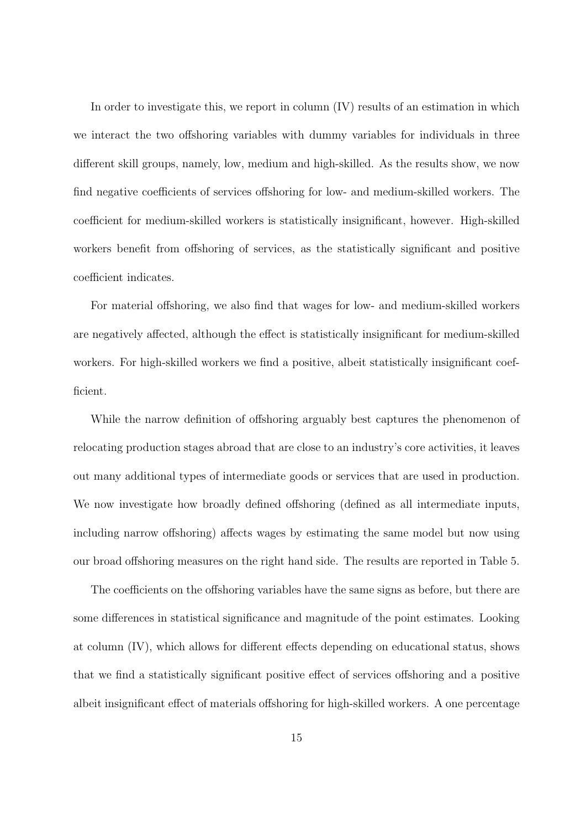In order to investigate this, we report in column (IV) results of an estimation in which we interact the two offshoring variables with dummy variables for individuals in three different skill groups, namely, low, medium and high-skilled. As the results show, we now find negative coefficients of services offshoring for low- and medium-skilled workers. The coefficient for medium-skilled workers is statistically insignificant, however. High-skilled workers benefit from offshoring of services, as the statistically significant and positive coefficient indicates.

For material offshoring, we also find that wages for low- and medium-skilled workers are negatively affected, although the effect is statistically insignificant for medium-skilled workers. For high-skilled workers we find a positive, albeit statistically insignificant coefficient.

While the narrow definition of offshoring arguably best captures the phenomenon of relocating production stages abroad that are close to an industry's core activities, it leaves out many additional types of intermediate goods or services that are used in production. We now investigate how broadly defined offshoring (defined as all intermediate inputs, including narrow offshoring) affects wages by estimating the same model but now using our broad offshoring measures on the right hand side. The results are reported in Table 5.

The coefficients on the offshoring variables have the same signs as before, but there are some differences in statistical significance and magnitude of the point estimates. Looking at column (IV), which allows for different effects depending on educational status, shows that we find a statistically significant positive effect of services offshoring and a positive albeit insignificant effect of materials offshoring for high-skilled workers. A one percentage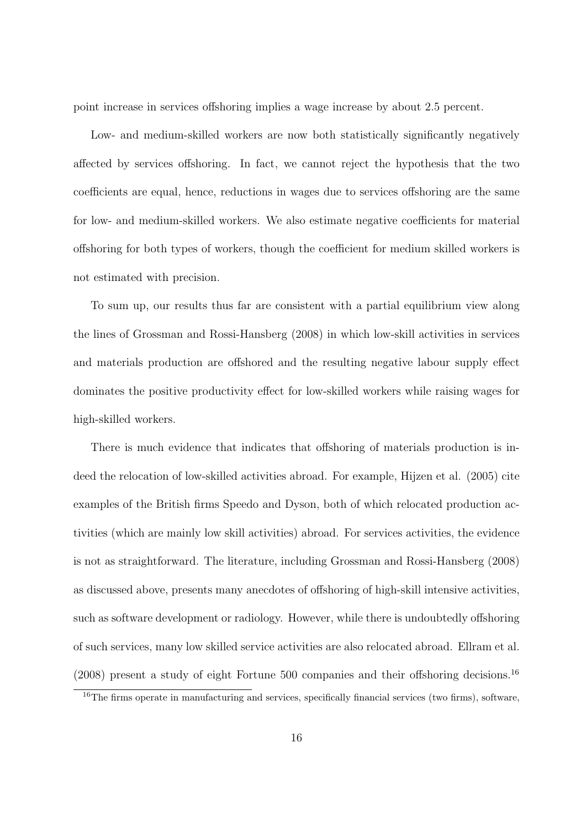point increase in services offshoring implies a wage increase by about 2.5 percent.

Low- and medium-skilled workers are now both statistically significantly negatively affected by services offshoring. In fact, we cannot reject the hypothesis that the two coefficients are equal, hence, reductions in wages due to services offshoring are the same for low- and medium-skilled workers. We also estimate negative coefficients for material offshoring for both types of workers, though the coefficient for medium skilled workers is not estimated with precision.

To sum up, our results thus far are consistent with a partial equilibrium view along the lines of Grossman and Rossi-Hansberg (2008) in which low-skill activities in services and materials production are offshored and the resulting negative labour supply effect dominates the positive productivity effect for low-skilled workers while raising wages for high-skilled workers.

There is much evidence that indicates that offshoring of materials production is indeed the relocation of low-skilled activities abroad. For example, Hijzen et al. (2005) cite examples of the British firms Speedo and Dyson, both of which relocated production activities (which are mainly low skill activities) abroad. For services activities, the evidence is not as straightforward. The literature, including Grossman and Rossi-Hansberg (2008) as discussed above, presents many anecdotes of offshoring of high-skill intensive activities, such as software development or radiology. However, while there is undoubtedly offshoring of such services, many low skilled service activities are also relocated abroad. Ellram et al. (2008) present a study of eight Fortune 500 companies and their offshoring decisions.<sup>16</sup>

<sup>&</sup>lt;sup>16</sup>The firms operate in manufacturing and services, specifically financial services (two firms), software,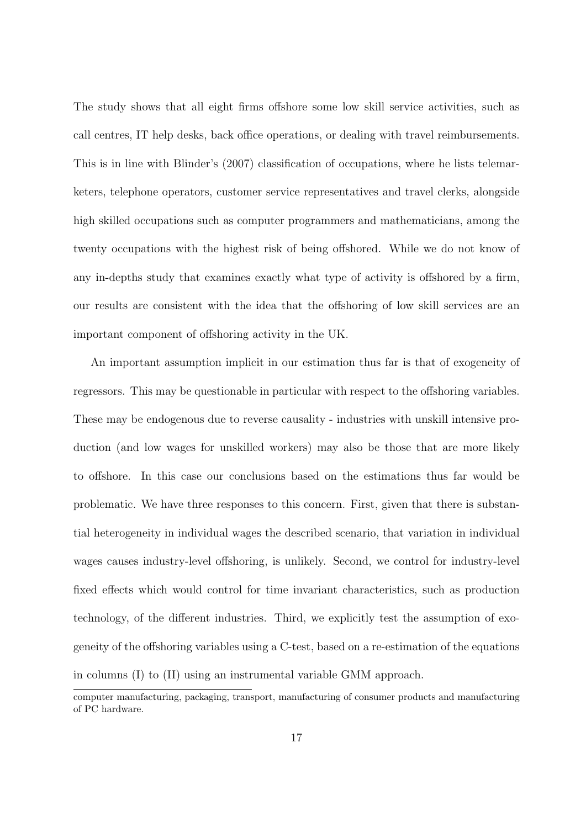The study shows that all eight firms offshore some low skill service activities, such as call centres, IT help desks, back office operations, or dealing with travel reimbursements. This is in line with Blinder's (2007) classification of occupations, where he lists telemarketers, telephone operators, customer service representatives and travel clerks, alongside high skilled occupations such as computer programmers and mathematicians, among the twenty occupations with the highest risk of being offshored. While we do not know of any in-depths study that examines exactly what type of activity is offshored by a firm, our results are consistent with the idea that the offshoring of low skill services are an important component of offshoring activity in the UK.

An important assumption implicit in our estimation thus far is that of exogeneity of regressors. This may be questionable in particular with respect to the offshoring variables. These may be endogenous due to reverse causality - industries with unskill intensive production (and low wages for unskilled workers) may also be those that are more likely to offshore. In this case our conclusions based on the estimations thus far would be problematic. We have three responses to this concern. First, given that there is substantial heterogeneity in individual wages the described scenario, that variation in individual wages causes industry-level offshoring, is unlikely. Second, we control for industry-level fixed effects which would control for time invariant characteristics, such as production technology, of the different industries. Third, we explicitly test the assumption of exogeneity of the offshoring variables using a C-test, based on a re-estimation of the equations in columns (I) to (II) using an instrumental variable GMM approach.

computer manufacturing, packaging, transport, manufacturing of consumer products and manufacturing of PC hardware.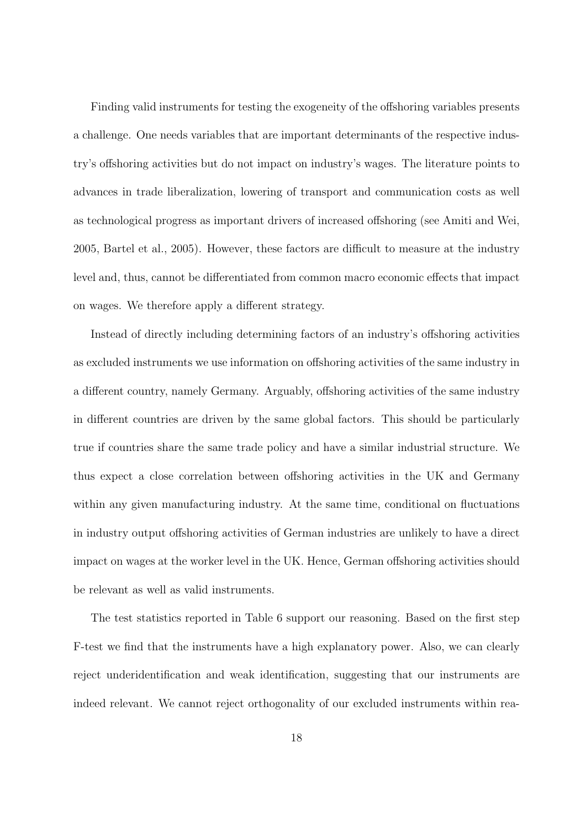Finding valid instruments for testing the exogeneity of the offshoring variables presents a challenge. One needs variables that are important determinants of the respective industry's offshoring activities but do not impact on industry's wages. The literature points to advances in trade liberalization, lowering of transport and communication costs as well as technological progress as important drivers of increased offshoring (see Amiti and Wei, 2005, Bartel et al., 2005). However, these factors are difficult to measure at the industry level and, thus, cannot be differentiated from common macro economic effects that impact on wages. We therefore apply a different strategy.

Instead of directly including determining factors of an industry's offshoring activities as excluded instruments we use information on offshoring activities of the same industry in a different country, namely Germany. Arguably, offshoring activities of the same industry in different countries are driven by the same global factors. This should be particularly true if countries share the same trade policy and have a similar industrial structure. We thus expect a close correlation between offshoring activities in the UK and Germany within any given manufacturing industry. At the same time, conditional on fluctuations in industry output offshoring activities of German industries are unlikely to have a direct impact on wages at the worker level in the UK. Hence, German offshoring activities should be relevant as well as valid instruments.

The test statistics reported in Table 6 support our reasoning. Based on the first step F-test we find that the instruments have a high explanatory power. Also, we can clearly reject underidentification and weak identification, suggesting that our instruments are indeed relevant. We cannot reject orthogonality of our excluded instruments within rea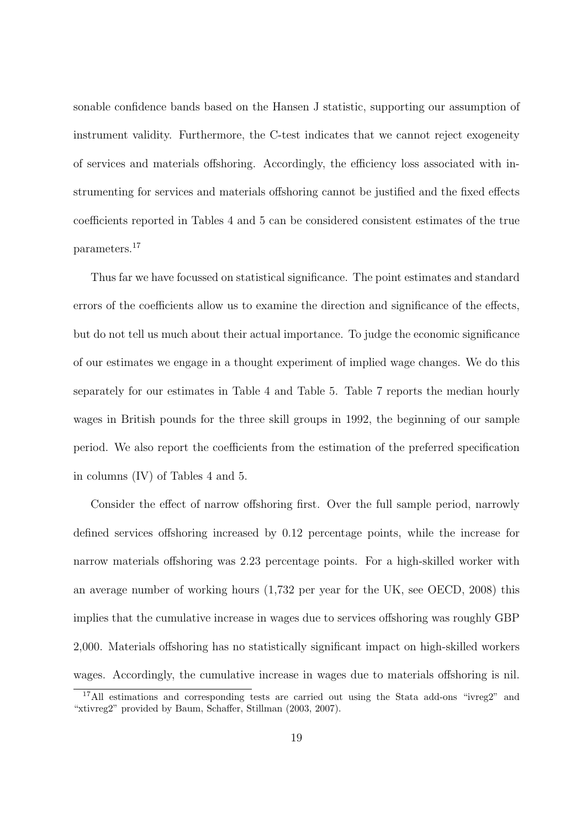sonable confidence bands based on the Hansen J statistic, supporting our assumption of instrument validity. Furthermore, the C-test indicates that we cannot reject exogeneity of services and materials offshoring. Accordingly, the efficiency loss associated with instrumenting for services and materials offshoring cannot be justified and the fixed effects coefficients reported in Tables 4 and 5 can be considered consistent estimates of the true parameters.<sup>17</sup>

Thus far we have focussed on statistical significance. The point estimates and standard errors of the coefficients allow us to examine the direction and significance of the effects, but do not tell us much about their actual importance. To judge the economic significance of our estimates we engage in a thought experiment of implied wage changes. We do this separately for our estimates in Table 4 and Table 5. Table 7 reports the median hourly wages in British pounds for the three skill groups in 1992, the beginning of our sample period. We also report the coefficients from the estimation of the preferred specification in columns (IV) of Tables 4 and 5.

Consider the effect of narrow offshoring first. Over the full sample period, narrowly defined services offshoring increased by 0.12 percentage points, while the increase for narrow materials offshoring was 2.23 percentage points. For a high-skilled worker with an average number of working hours (1,732 per year for the UK, see OECD, 2008) this implies that the cumulative increase in wages due to services offshoring was roughly GBP 2,000. Materials offshoring has no statistically significant impact on high-skilled workers wages. Accordingly, the cumulative increase in wages due to materials offshoring is nil.

<sup>&</sup>lt;sup>17</sup>All estimations and corresponding tests are carried out using the Stata add-ons "ivreg2" and "xtivreg2" provided by Baum, Schaffer, Stillman (2003, 2007).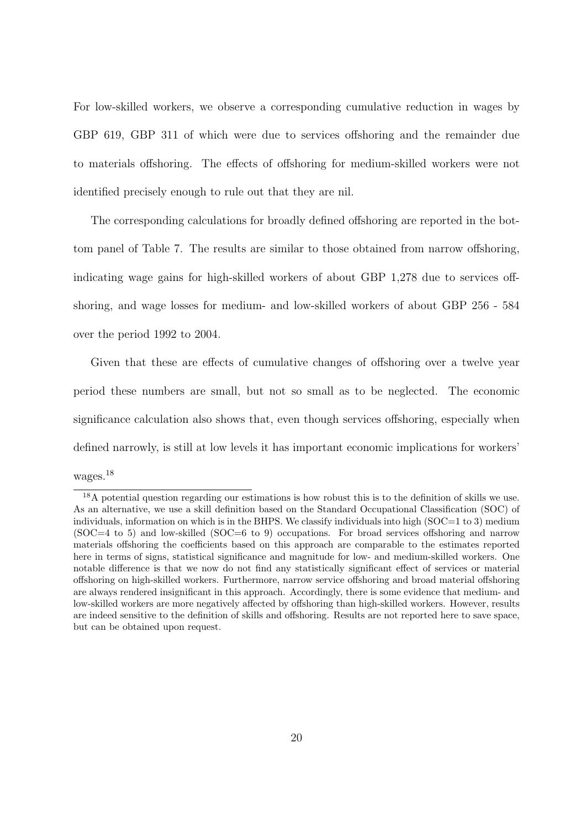For low-skilled workers, we observe a corresponding cumulative reduction in wages by GBP 619, GBP 311 of which were due to services offshoring and the remainder due to materials offshoring. The effects of offshoring for medium-skilled workers were not identified precisely enough to rule out that they are nil.

The corresponding calculations for broadly defined offshoring are reported in the bottom panel of Table 7. The results are similar to those obtained from narrow offshoring, indicating wage gains for high-skilled workers of about GBP 1,278 due to services offshoring, and wage losses for medium- and low-skilled workers of about GBP 256 - 584 over the period 1992 to 2004.

Given that these are effects of cumulative changes of offshoring over a twelve year period these numbers are small, but not so small as to be neglected. The economic significance calculation also shows that, even though services offshoring, especially when defined narrowly, is still at low levels it has important economic implications for workers' wages.<sup>18</sup>

<sup>&</sup>lt;sup>18</sup>A potential question regarding our estimations is how robust this is to the definition of skills we use. As an alternative, we use a skill definition based on the Standard Occupational Classification (SOC) of individuals, information on which is in the BHPS. We classify individuals into high  $(SOC=1 \text{ to } 3)$  medium (SOC=4 to 5) and low-skilled (SOC=6 to 9) occupations. For broad services offshoring and narrow materials offshoring the coefficients based on this approach are comparable to the estimates reported here in terms of signs, statistical significance and magnitude for low- and medium-skilled workers. One notable difference is that we now do not find any statistically significant effect of services or material offshoring on high-skilled workers. Furthermore, narrow service offshoring and broad material offshoring are always rendered insignificant in this approach. Accordingly, there is some evidence that medium- and low-skilled workers are more negatively affected by offshoring than high-skilled workers. However, results are indeed sensitive to the definition of skills and offshoring. Results are not reported here to save space, but can be obtained upon request.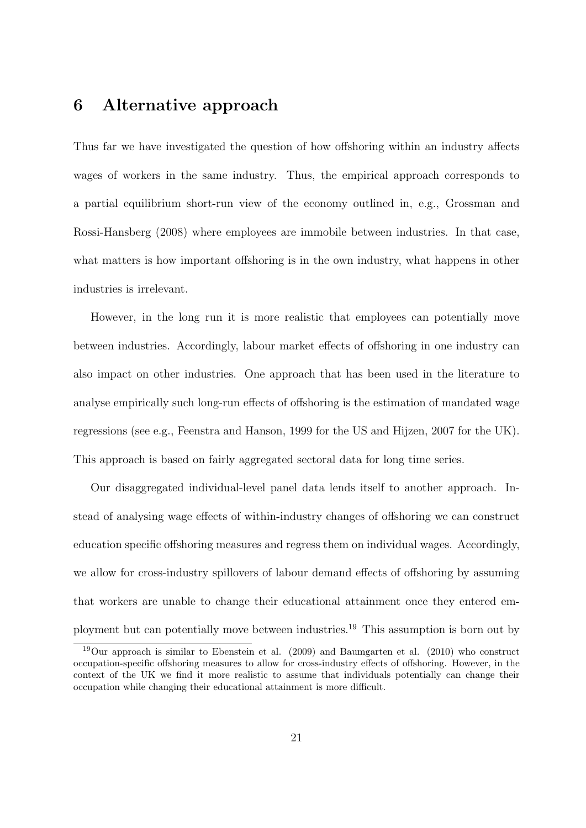### **6 Alternative approach**

Thus far we have investigated the question of how offshoring within an industry affects wages of workers in the same industry. Thus, the empirical approach corresponds to a partial equilibrium short-run view of the economy outlined in, e.g., Grossman and Rossi-Hansberg (2008) where employees are immobile between industries. In that case, what matters is how important offshoring is in the own industry, what happens in other industries is irrelevant.

However, in the long run it is more realistic that employees can potentially move between industries. Accordingly, labour market effects of offshoring in one industry can also impact on other industries. One approach that has been used in the literature to analyse empirically such long-run effects of offshoring is the estimation of mandated wage regressions (see e.g., Feenstra and Hanson, 1999 for the US and Hijzen, 2007 for the UK). This approach is based on fairly aggregated sectoral data for long time series.

Our disaggregated individual-level panel data lends itself to another approach. Instead of analysing wage effects of within-industry changes of offshoring we can construct education specific offshoring measures and regress them on individual wages. Accordingly, we allow for cross-industry spillovers of labour demand effects of offshoring by assuming that workers are unable to change their educational attainment once they entered employment but can potentially move between industries.<sup>19</sup> This assumption is born out by

 $19$ Our approach is similar to Ebenstein et al. (2009) and Baumgarten et al. (2010) who construct occupation-specific offshoring measures to allow for cross-industry effects of offshoring. However, in the context of the UK we find it more realistic to assume that individuals potentially can change their occupation while changing their educational attainment is more difficult.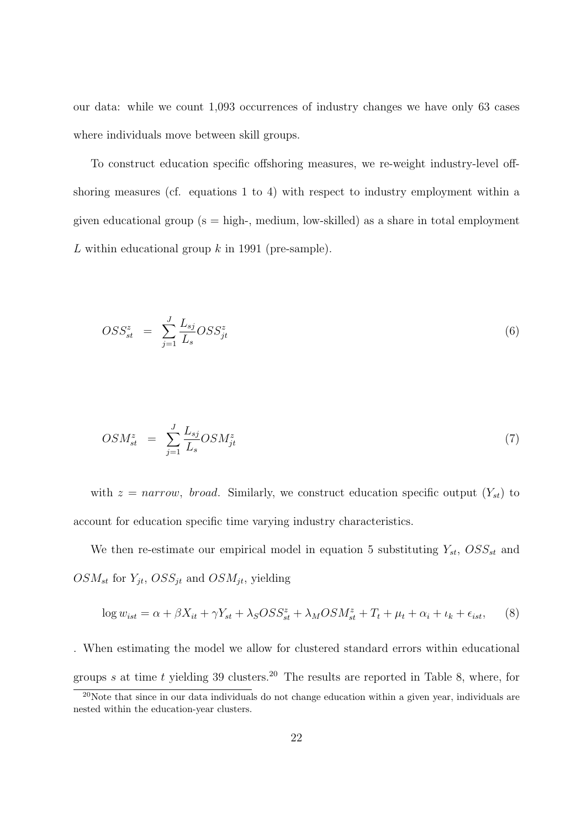our data: while we count 1,093 occurrences of industry changes we have only 63 cases where individuals move between skill groups.

To construct education specific offshoring measures, we re-weight industry-level offshoring measures (cf. equations 1 to 4) with respect to industry employment within a given educational group ( $s = high$ , medium, low-skilled) as a share in total employment *L* within educational group *k* in 1991 (pre-sample).

$$
OSS_{st}^{z} = \sum_{j=1}^{J} \frac{L_{sj}}{L_{s}} OSS_{jt}^{z}
$$
\n
$$
(6)
$$

$$
OSM_{st}^{z} = \sum_{j=1}^{J} \frac{L_{sj}}{L_{s}} OSM_{jt}^{z}
$$
\n
$$
(7)
$$

with  $z = narrow$ , *broad*. Similarly, we construct education specific output  $(Y_{st})$  to account for education specific time varying industry characteristics.

We then re-estimate our empirical model in equation 5 substituting  $Y_{st}$ ,  $OSS_{st}$  and  $OSM_{st}$  for  $Y_{jt}$ ,  $OSS_{jt}$  and  $OSM_{jt}$ , yielding

$$
\log w_{ist} = \alpha + \beta X_{it} + \gamma Y_{st} + \lambda_S OSS_{st}^z + \lambda_M OSM_{st}^z + T_t + \mu_t + \alpha_i + \iota_k + \epsilon_{ist}, \tag{8}
$$

. When estimating the model we allow for clustered standard errors within educational groups  $s$  at time  $t$  yielding 39 clusters.<sup>20</sup> The results are reported in Table 8, where, for

<sup>&</sup>lt;sup>20</sup>Note that since in our data individuals do not change education within a given year, individuals are nested within the education-year clusters.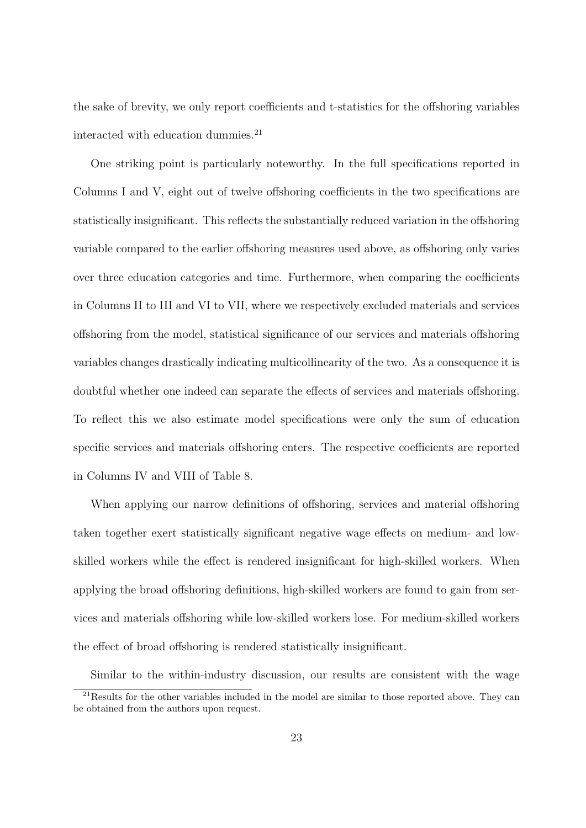the sake of brevity, we only report coefficients and t-statistics for the offshoring variables interacted with education dummies. $^{21}$ 

One striking point is particularly noteworthy. In the full specifications reported in Columns I and V, eight out of twelve offshoring coefficients in the two specifications are statistically insignificant. This reflects the substantially reduced variation in the offshoring variable compared to the earlier offshoring measures used above, as offshoring only varies over three education categories and time. Furthermore, when comparing the coefficients in Columns II to III and VI to VII, where we respectively excluded materials and services offshoring from the model, statistical significance of our services and materials offshoring variables changes drastically indicating multicollinearity of the two. As a consequence it is doubtful whether one indeed can separate the effects of services and materials offshoring. To reflect this we also estimate model specifications were only the sum of education specific services and materials offshoring enters. The respective coefficients are reported in Columns IV and VIII of Table 8.

When applying our narrow definitions of offshoring, services and material offshoring taken together exert statistically significant negative wage effects on medium- and lowskilled workers while the effect is rendered insignificant for high-skilled workers. When applying the broad offshoring definitions, high-skilled workers are found to gain from services and materials offshoring while low-skilled workers lose. For medium-skilled workers the effect of broad offshoring is rendered statistically insignificant.

Similar to the within-industry discussion, our results are consistent with the wage  $^{21}$ Results for the other variables included in the model are similar to those reported above. They can be obtained from the authors upon request.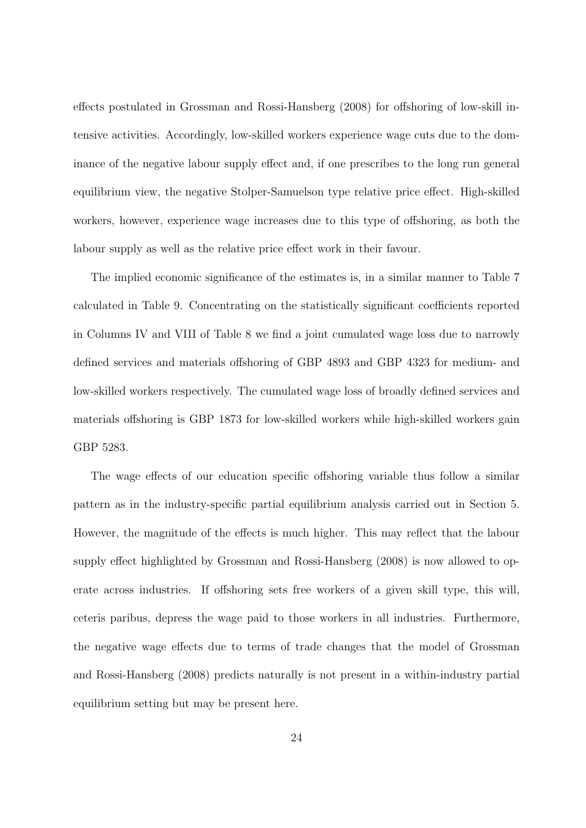effects postulated in Grossman and Rossi-Hansberg (2008) for offshoring of low-skill intensive activities. Accordingly, low-skilled workers experience wage cuts due to the dominance of the negative labour supply effect and, if one prescribes to the long run general equilibrium view, the negative Stolper-Samuelson type relative price effect. High-skilled workers, however, experience wage increases due to this type of offshoring, as both the labour supply as well as the relative price effect work in their favour.

The implied economic significance of the estimates is, in a similar manner to Table 7 calculated in Table 9. Concentrating on the statistically significant coefficients reported in Columns IV and VIII of Table 8 we find a joint cumulated wage loss due to narrowly defined services and materials offshoring of GBP 4893 and GBP 4323 for medium- and low-skilled workers respectively. The cumulated wage loss of broadly defined services and materials offshoring is GBP 1873 for low-skilled workers while high-skilled workers gain GBP 5283.

The wage effects of our education specific offshoring variable thus follow a similar pattern as in the industry-specific partial equilibrium analysis carried out in Section 5. However, the magnitude of the effects is much higher. This may reflect that the labour supply effect highlighted by Grossman and Rossi-Hansberg (2008) is now allowed to operate across industries. If offshoring sets free workers of a given skill type, this will, ceteris paribus, depress the wage paid to those workers in all industries. Furthermore, the negative wage effects due to terms of trade changes that the model of Grossman and Rossi-Hansberg (2008) predicts naturally is not present in a within-industry partial equilibrium setting but may be present here.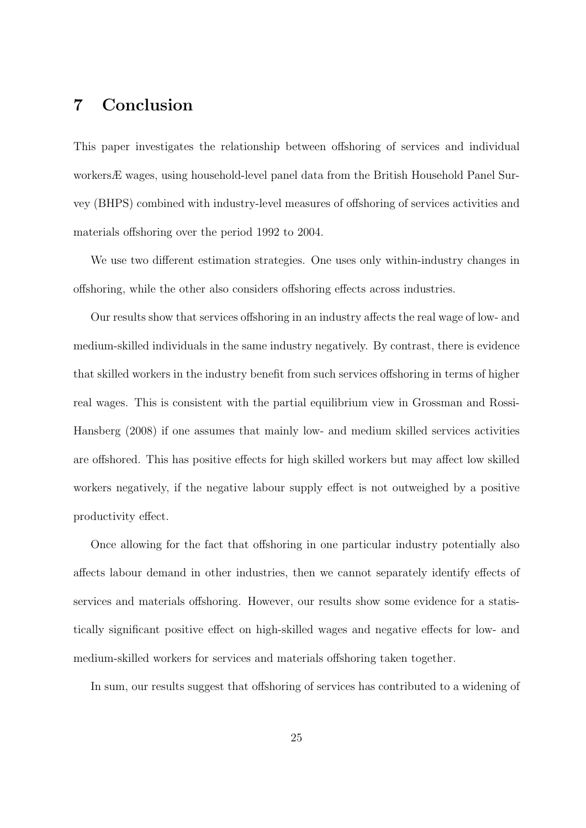### **7 Conclusion**

This paper investigates the relationship between offshoring of services and individual workersÆ wages, using household-level panel data from the British Household Panel Survey (BHPS) combined with industry-level measures of offshoring of services activities and materials offshoring over the period 1992 to 2004.

We use two different estimation strategies. One uses only within-industry changes in offshoring, while the other also considers offshoring effects across industries.

Our results show that services offshoring in an industry affects the real wage of low- and medium-skilled individuals in the same industry negatively. By contrast, there is evidence that skilled workers in the industry benefit from such services offshoring in terms of higher real wages. This is consistent with the partial equilibrium view in Grossman and Rossi-Hansberg (2008) if one assumes that mainly low- and medium skilled services activities are offshored. This has positive effects for high skilled workers but may affect low skilled workers negatively, if the negative labour supply effect is not outweighed by a positive productivity effect.

Once allowing for the fact that offshoring in one particular industry potentially also affects labour demand in other industries, then we cannot separately identify effects of services and materials offshoring. However, our results show some evidence for a statistically significant positive effect on high-skilled wages and negative effects for low- and medium-skilled workers for services and materials offshoring taken together.

In sum, our results suggest that offshoring of services has contributed to a widening of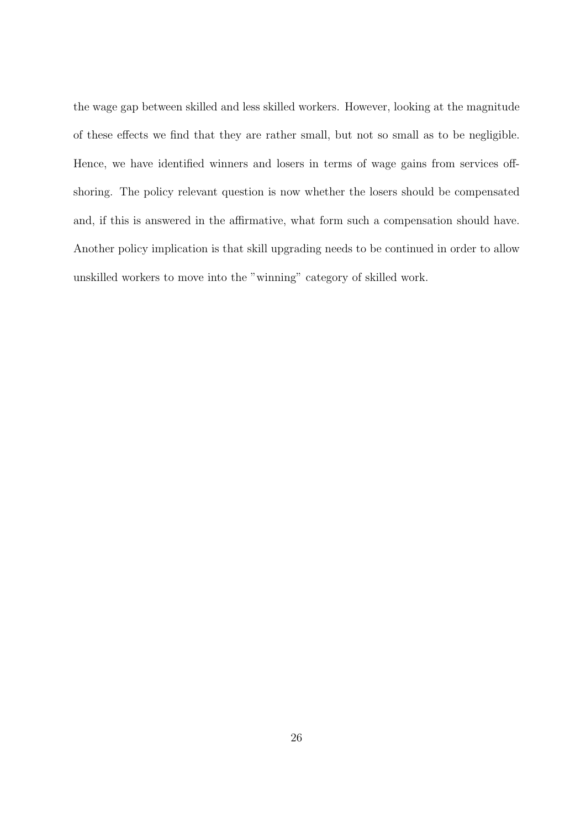the wage gap between skilled and less skilled workers. However, looking at the magnitude of these effects we find that they are rather small, but not so small as to be negligible. Hence, we have identified winners and losers in terms of wage gains from services offshoring. The policy relevant question is now whether the losers should be compensated and, if this is answered in the affirmative, what form such a compensation should have. Another policy implication is that skill upgrading needs to be continued in order to allow unskilled workers to move into the "winning" category of skilled work.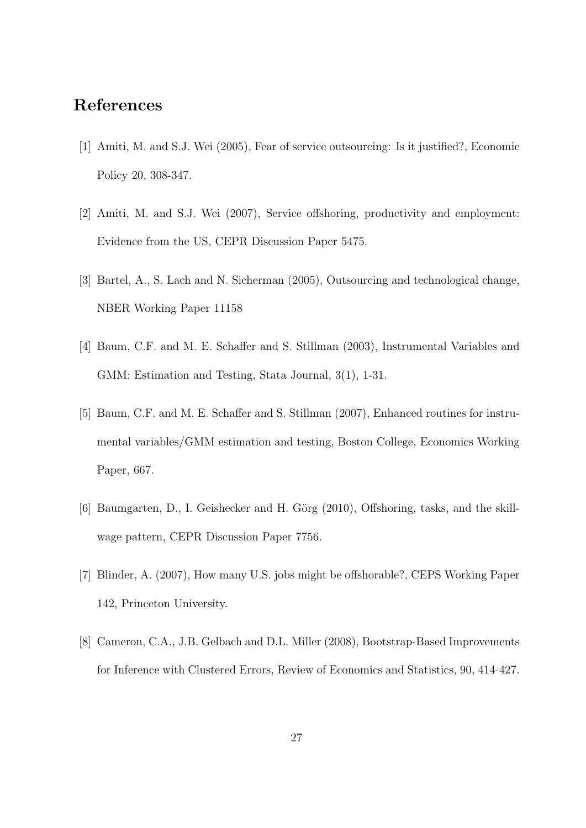### **References**

- [1] Amiti, M. and S.J. Wei (2005), Fear of service outsourcing: Is it justified?, Economic Policy 20, 308-347.
- [2] Amiti, M. and S.J. Wei (2007), Service offshoring, productivity and employment: Evidence from the US, CEPR Discussion Paper 5475.
- [3] Bartel, A., S. Lach and N. Sicherman (2005), Outsourcing and technological change, NBER Working Paper 11158
- [4] Baum, C.F. and M. E. Schaffer and S. Stillman (2003), Instrumental Variables and GMM: Estimation and Testing, Stata Journal, 3(1), 1-31.
- [5] Baum, C.F. and M. E. Schaffer and S. Stillman (2007), Enhanced routines for instrumental variables/GMM estimation and testing, Boston College, Economics Working Paper, 667.
- [6] Baumgarten, D., I. Geishecker and H. Görg (2010), Offshoring, tasks, and the skillwage pattern, CEPR Discussion Paper 7756.
- [7] Blinder, A. (2007), How many U.S. jobs might be offshorable?, CEPS Working Paper 142, Princeton University.
- [8] Cameron, C.A., J.B. Gelbach and D.L. Miller (2008), Bootstrap-Based Improvements for Inference with Clustered Errors, Review of Economics and Statistics, 90, 414-427.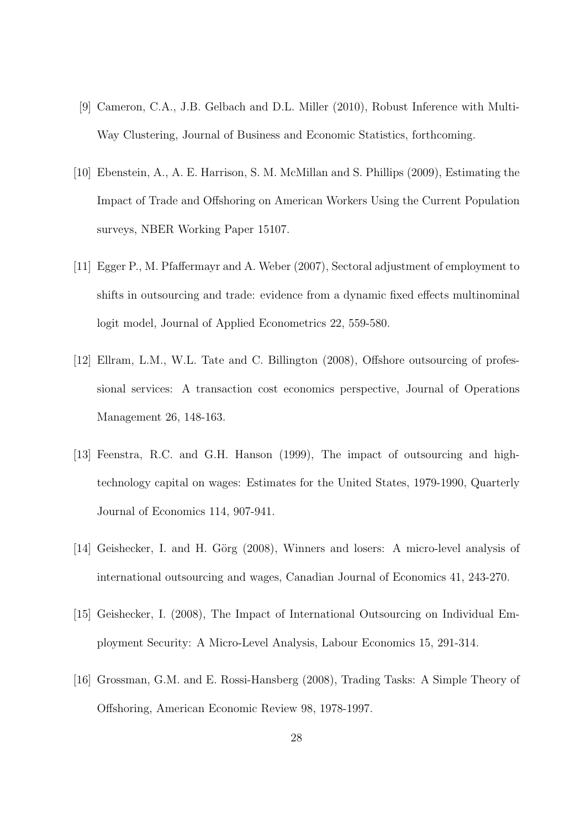- [9] Cameron, C.A., J.B. Gelbach and D.L. Miller (2010), Robust Inference with Multi-Way Clustering, Journal of Business and Economic Statistics, forthcoming.
- [10] Ebenstein, A., A. E. Harrison, S. M. McMillan and S. Phillips (2009), Estimating the Impact of Trade and Offshoring on American Workers Using the Current Population surveys, NBER Working Paper 15107.
- [11] Egger P., M. Pfaffermayr and A. Weber (2007), Sectoral adjustment of employment to shifts in outsourcing and trade: evidence from a dynamic fixed effects multinominal logit model, Journal of Applied Econometrics 22, 559-580.
- [12] Ellram, L.M., W.L. Tate and C. Billington (2008), Offshore outsourcing of professional services: A transaction cost economics perspective, Journal of Operations Management 26, 148-163.
- [13] Feenstra, R.C. and G.H. Hanson (1999), The impact of outsourcing and hightechnology capital on wages: Estimates for the United States, 1979-1990, Quarterly Journal of Economics 114, 907-941.
- [14] Geishecker, I. and H. Görg (2008), Winners and losers: A micro-level analysis of international outsourcing and wages, Canadian Journal of Economics 41, 243-270.
- [15] Geishecker, I. (2008), The Impact of International Outsourcing on Individual Employment Security: A Micro-Level Analysis, Labour Economics 15, 291-314.
- [16] Grossman, G.M. and E. Rossi-Hansberg (2008), Trading Tasks: A Simple Theory of Offshoring, American Economic Review 98, 1978-1997.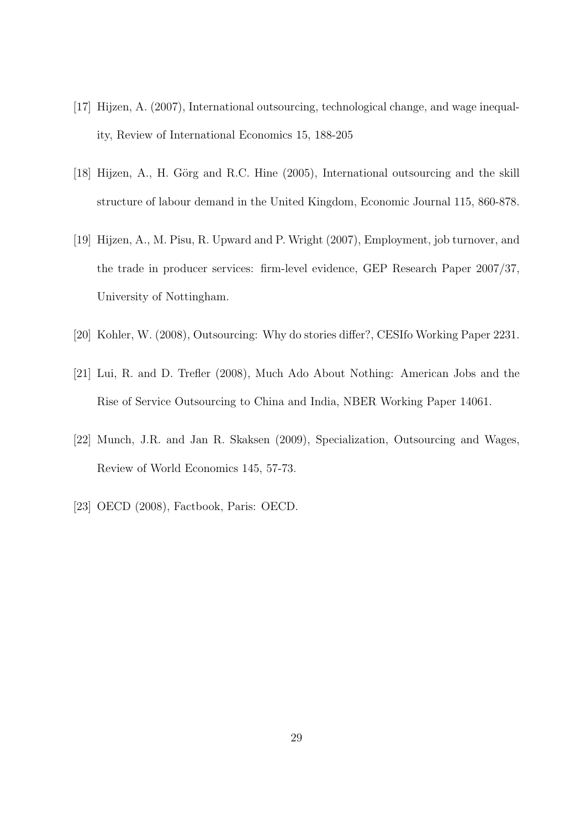- [17] Hijzen, A. (2007), International outsourcing, technological change, and wage inequality, Review of International Economics 15, 188-205
- [18] Hijzen, A., H. Görg and R.C. Hine (2005), International outsourcing and the skill structure of labour demand in the United Kingdom, Economic Journal 115, 860-878.
- [19] Hijzen, A., M. Pisu, R. Upward and P. Wright (2007), Employment, job turnover, and the trade in producer services: firm-level evidence, GEP Research Paper 2007/37, University of Nottingham.
- [20] Kohler, W. (2008), Outsourcing: Why do stories differ?, CESIfo Working Paper 2231.
- [21] Lui, R. and D. Trefler (2008), Much Ado About Nothing: American Jobs and the Rise of Service Outsourcing to China and India, NBER Working Paper 14061.
- [22] Munch, J.R. and Jan R. Skaksen (2009), Specialization, Outsourcing and Wages, Review of World Economics 145, 57-73.
- [23] OECD (2008), Factbook, Paris: OECD.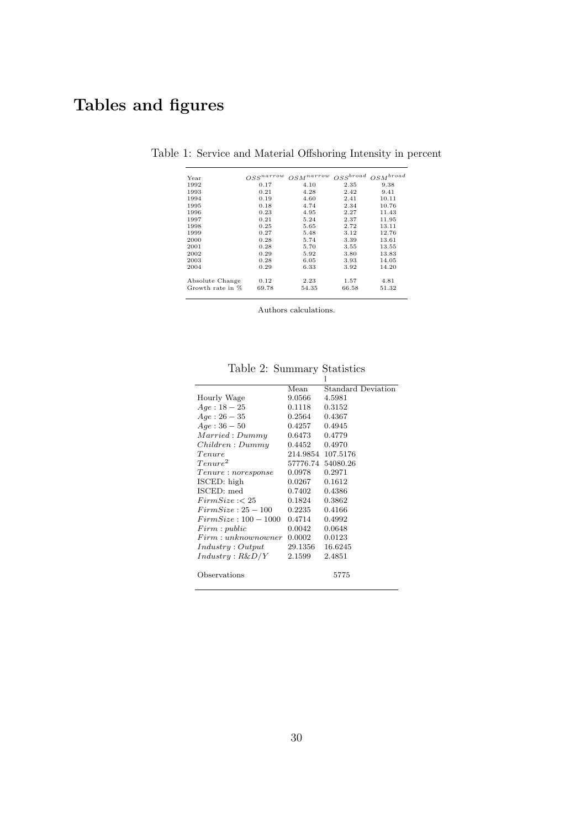## **Tables and figures**

| Year             | $OSS^{narrow}$ | $_{r}$ n $_{a}$ rro $_{w}$<br>OSM | $OSS^{broad}$ | $OSM^{broad}$ |
|------------------|----------------|-----------------------------------|---------------|---------------|
| 1992             | 0.17           | 4.10                              | 2.35          | 9.38          |
| 1993             | 0.21           | 4.28                              | 2.42          | 9.41          |
| 1994             | 0.19           | 4.60                              | 2.41          | 10.11         |
| 1995             | 0.18           | 4.74                              | 2.34          | 10.76         |
| 1996             | 0.23           | 4.95                              | 2.27          | 11.43         |
| 1997             | 0.21           | 5.24                              | 2.37          | 11.95         |
| 1998             | 0.25           | 5.65                              | 2.72          | 13.11         |
| 1999             | 0.27           | 5.48                              | 3.12          | 12.76         |
| 2000             | 0.28           | 5.74                              | 3.39          | 13.61         |
| 2001             | 0.28           | 5.70                              | 3.55          | 13.55         |
| 2002             | 0.29           | 5.92                              | 3.80          | 13.83         |
| 2003             | 0.28           | 6.05                              | 3.93          | 14.05         |
| 2004             | 0.29           | 6.33                              | 3.92          | 14.20         |
| Absolute Change  | 0.12           | 2.23                              | 1.57          | 4.81          |
| Growth rate in % | 69.78          | 54.35                             | 66.58         | 51.32         |

Table 1: Service and Material Offshoring Intensity in percent

Authors calculations.

|                      |         | 1                         |
|----------------------|---------|---------------------------|
|                      | Mean    | <b>Standard Deviation</b> |
| Hourly Wage          | 9.0566  | 4.5981                    |
| $Age: 18-25$         | 0.1118  | 0.3152                    |
| $Age: 26-35$         | 0.2564  | 0.4367                    |
| $Age:36-50$          | 0.4257  | 0.4945                    |
| Married: Dummy       | 0.6473  | 0.4779                    |
| Children: Dummy      | 0.4452  | 0.4970                    |
| Tenure               |         | 214.9854 107.5176         |
| Tenure <sup>2</sup>  |         | 57776.74 54080.26         |
| Tenure : noresponse  | 0.0978  | 0.2971                    |
| ISCED: high          | 0.0267  | 0.1612                    |
| ISCED: med           | 0.7402  | 0.4386                    |
| FirmSize: < 25       | 0.1824  | 0.3862                    |
| $FirmSize: 25-100$   | 0.2235  | 0.4166                    |
| $FirmSize: 100-1000$ | 0.4714  | 0.4992                    |
| Firm: public         | 0.0042  | 0.0648                    |
| Firm: unknown owner  | 0.0002  | 0.0123                    |
| Industry: Output     | 29.1356 | 16.6245                   |
| Industry : R&D/Y     | 2.1599  | 2.4851                    |
|                      |         |                           |
| Observations         |         | 5775                      |
|                      |         |                           |

Table 2: Summary Statistics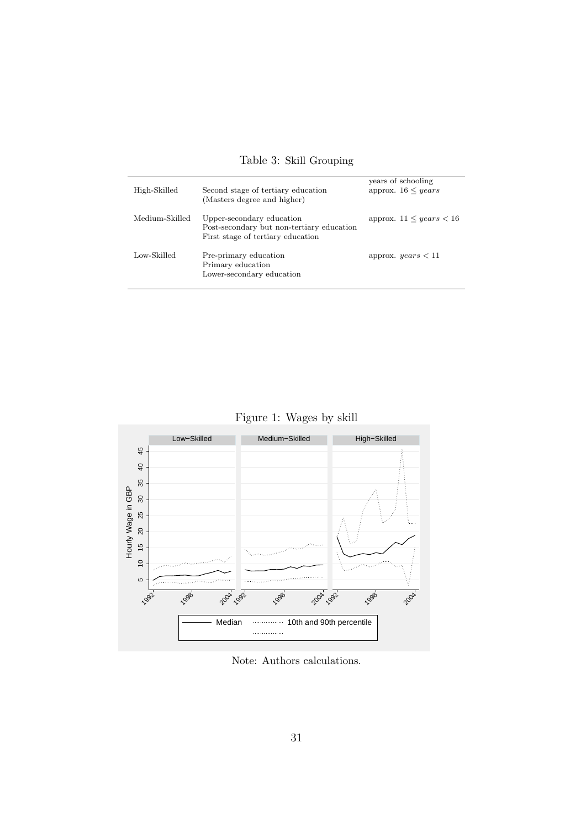| High-Skilled   | Second stage of tertiary education<br>(Masters degree and higher)                                           | years of schooling<br>approx. $16 \leq years$ |
|----------------|-------------------------------------------------------------------------------------------------------------|-----------------------------------------------|
| Medium-Skilled | Upper-secondary education<br>Post-secondary but non-tertiary education<br>First stage of tertiary education | approx. $11 \leq years < 16$                  |
| Low-Skilled    | Pre-primary education<br>Primary education<br>Lower-secondary education                                     | approx. $years < 11$                          |

Table 3: Skill Grouping

Figure 1: Wages by skill



Note: Authors calculations.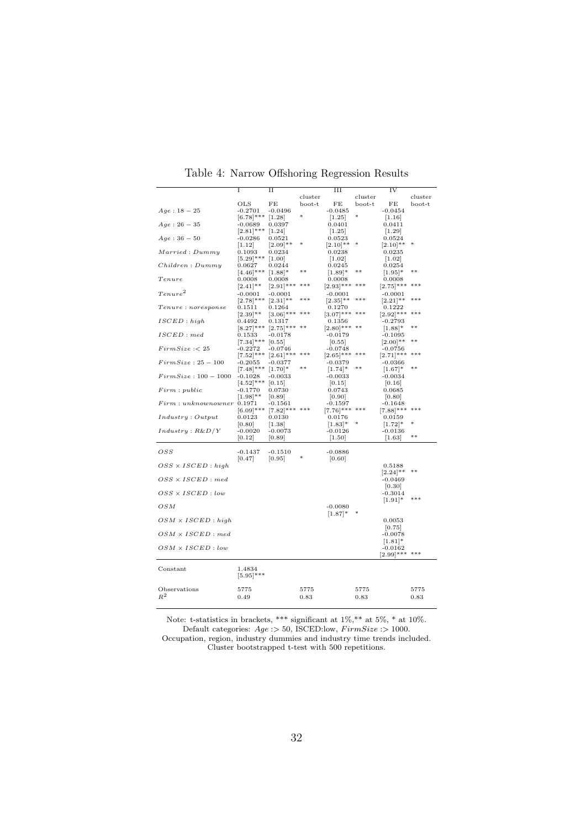|                           | I            | П            |         | III             |         | IV           |         |
|---------------------------|--------------|--------------|---------|-----------------|---------|--------------|---------|
|                           |              |              | cluster |                 | cluster |              | cluster |
|                           | OLS          | FE           | boot-t  | FE              | boot-t  | FE           | boot-t  |
| $Age: 18-25$              | $-0.2701$    | $-0.0496$    |         | $-0.0485$       |         | $-0.0454$    |         |
|                           | $[6.78]$ *** | [1.28]       | $\ast$  | [1.25]          | *       | [1.16]       |         |
| $Age: 26 - 35$            | $-0.0689$    | 0.0397       |         | 0.0401          |         | 0.0411       |         |
|                           | $[2.81]$ *** | $[1.24]$     |         | $[1.25]$        |         | $[1.29]$     |         |
| $Age:36-50$               | $-0.0286$    | 0.0521       |         | 0.0523          |         | 0.0524       |         |
|                           | 1.12         | $[2.09]$ **  |         | $[2.10]$ **     |         | $[2.10]$ **  |         |
| Married: Dummy            | 0.1093       | 0.0234       |         | 0.0238          |         | 0.0235       |         |
|                           | $[5.29]$ *** | 1.00         |         | $[1.02]$        |         | $[1.02]$     |         |
| Children: Dummy           | $_{0.0627}$  | 0.0244       |         | 0.0245          |         | 0.0254       |         |
|                           | $[4.46]$ *** | $[1.88]$ *   | $**$    | $[1.89]$ *      |         | $[1.95]$ *   | $**$    |
| Tenure                    | 0.0008       | 0.0008       |         | 0.0008          |         | 0.0008       |         |
|                           | $[2.41]$ **  | $[2.91]$ *** | ***     | $[2.93]$ ***    | $***$   | $[2.75]$ *** | ***     |
| $T$ enure $^2$            |              |              |         |                 |         |              |         |
|                           | $-0.0001$    | $-0.0001$    | ***     | $-0.0001$       | ***     | $-0.0001$    | ***     |
|                           | $ 2.78 ***$  | $[2.31]$ **  |         | $[2.35]$ **     |         | $[2.21]$ **  |         |
| Tenure: noresponse        | 0.1511       | 0.1264       | ***     | 0.1270          | ***     | 0.1222       | ***     |
|                           | $[2.39]$ **  | $[3.06]$ *** |         | $[3.07]$ ***    |         | $[2.92]$ *** |         |
| ISCED: high               | 0.4492       | 0.1317       | $* *$   | 0.1356          |         | $-0.2793$    | $* *$   |
|                           | $[8.27]$ *** | $[2.75]$ *** |         | $[2.80]$ *** ** |         | $[1.88]$ *   |         |
| ISCED: med                | 0.1533       | $-0.0178$    |         | $-0.0179$       |         | $-0.1095$    |         |
|                           | $[7.34]$ *** | [0.55]       |         | [0.55]          |         | $[2.00]$ **  | $**$    |
| FirmSize: < 25            | $-0.2272$    | $-0.0746$    |         | $-0.0748$       |         | $-0.0756$    |         |
|                           | $[7.52]$ *** | $[2.61]$ *** | ***     | $[2.65]$ ***    | $***$   | $[2.71]$ *** | ***     |
| $FirmSize: 25-100$        | $-0.2055$    | $-0.0377$    |         | $-0.0379$       |         | $-0.0366$    |         |
|                           | $[7.48]$ *** | $[1.70]$ *   | $**$    | $[1.74]$ *      | $***$   | $[1.67]$ *   | $**$    |
| $FirmSize: 100-1000$      | $-0.1028$    | $-0.0033$    |         | $-0.0033$       |         | $-0.0034$    |         |
|                           | $[4.52]$ *** | [0.15]       |         | [0.15]          |         | [0.16]       |         |
| Firm: public              | $-0.1770$    | 0.0730       |         | 0.0743          |         | 0.0685       |         |
|                           | $[1.98]$ **  | [0.89]       |         | [0.90]          |         | [0.80]       |         |
| Firm: unknownowner 0.1971 |              | $-0.1561$    |         | $-0.1597$       |         | $-0.1648$    |         |
|                           | $[6.09]$ *** | $[7.82]$ *** | ***     | $[7.76]***$     | ***     | $[7.88]$ *** | ***     |
| Industry: Output          | 0.0123       | 0.0130       |         | 0.0176          |         | 0.0159       |         |
|                           | [0.80]       | [1.38]       |         | $[1.83]$ *      |         | $ 1.72 $ *   |         |
| Industry : R&D/Y          | $-0.0020$    | $-0.0073$    |         | $-0.0126$       |         | $-0.0136$    |         |
|                           | [0.12]       | [0.89]       |         | [1.50]          |         | $[1.63]$     | $**$    |
|                           |              |              |         |                 |         |              |         |
| OSS                       | $-0.1437$    | $-0.1510$    |         | $-0.0886$       |         |              |         |
|                           | [0.47]       | [0.95]       |         | [0.60]          |         |              |         |
| $OSS \times ISCED : high$ |              |              |         |                 |         | 0.5188       |         |
|                           |              |              |         |                 |         | $ 2.24 ***$  | $* *$   |
| $OSS \times ISCED : med$  |              |              |         |                 |         | $-0.0469$    |         |
|                           |              |              |         |                 |         | 0.30         |         |
| $OSS \times ISCED$ : low  |              |              |         |                 |         | $-0.3014$    |         |
|                           |              |              |         |                 |         | $[1.91]$ *   | ***     |
| OSM                       |              |              |         | $-0.0080$       |         |              |         |
|                           |              |              |         | $[1.87]$ *      |         |              |         |
| $OSM \times ISCED$ : high |              |              |         |                 |         | 0.0053       |         |
|                           |              |              |         |                 |         | 0.75         |         |
| $OSM \times ISCED : med$  |              |              |         |                 |         | $-0.0078$    |         |
|                           |              |              |         |                 |         | $[1.81]$ *   |         |
| $OSM \times ISCED$ : low  |              |              |         |                 |         | $-0.0162$    |         |
|                           |              |              |         |                 |         | $[2.99]$ *** | ***     |
|                           |              |              |         |                 |         |              |         |
| Constant                  | 1.4834       |              |         |                 |         |              |         |
|                           |              |              |         |                 |         |              |         |
|                           | $[5.95]***$  |              |         |                 |         |              |         |
| Observations              |              |              |         |                 |         |              |         |
| $R^2$                     | 5775         |              | 5775    |                 | 5775    |              | 5775    |
|                           | 0.49         |              | 0.83    |                 | 0.83    |              | 0.83    |
|                           |              |              |         |                 |         |              |         |

Table 4: Narrow Offshoring Regression Results

Note: t-statistics in brackets, \*\*\* significant at  $1\%,$ \*\* at  $5\%,$ \* at  $10\%$ . Default categories: *Age* :*>* 50, ISCED:low, *F irmSize* :*>* 1000. Occupation, region, industry dummies and industry time trends included. Cluster bootstrapped t-test with 500 repetitions.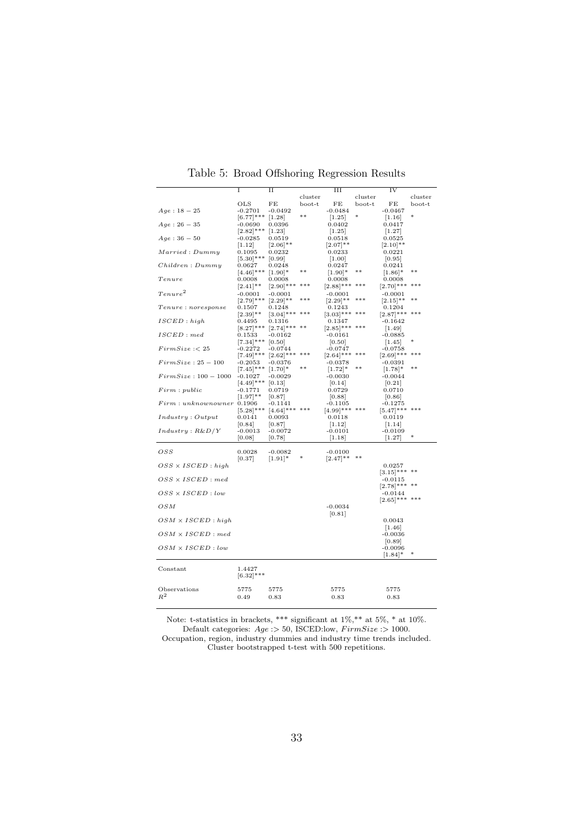|                           | I            | $_{\rm II}$  |         | $\overline{III}$    |         | IV             |         |
|---------------------------|--------------|--------------|---------|---------------------|---------|----------------|---------|
|                           |              |              | cluster |                     | cluster |                | cluster |
|                           | OLS          | FE           | boot-t  | FE                  | boot-t  | FE             | boot-t  |
| $Age: 18-25$              | $-0.2701$    | $-0.0492$    |         | $-0.0484$           |         | $-0.0467$      |         |
|                           | $[6.77]$ *** | [1.28]       | $**$    | [1.25]              |         | [1.16]         |         |
| $Age: 26 - 35$            | $-0.0690$    | 0.0396       |         | 0.0402              |         | 0.0417         |         |
|                           | $[2.82]$ *** | $[1.23]$     |         | [1.25]              |         | [1.27]         |         |
| $Age:36-50$               | $-0.0285$    | 0.0519       |         | 0.0518              |         | 0.0525         |         |
|                           | 1.12         | $[2.06]$ **  |         | $[2.07]$ **         |         | $[2.10]$ **    |         |
| Married: Dummy            | 0.1095       | 0.0232       |         | 0.0233              |         | 0.0221         |         |
|                           | $[5.30]$ *** | [0.99]       |         | $\left[1.00\right]$ |         | [0.95]         |         |
| Children: Dummy           | 0.0627       | 0.0248       |         | 0.0247              |         | 0.0241         |         |
|                           | $[4.46]$ *** | $[1.90]$ *   | $**$    | $[1.90]$ *          |         | $[1.86]$ *     | $**$    |
| Tenure                    | 0.0008       | 0.0008       |         | 0.0008              |         | 0.0008         |         |
|                           | $[2.41]$ **  | $[2.90]$ *** | ***     |                     |         | $ 2.70 ***$    | ***     |
| $T$ enure $^2$            |              |              |         | $[2.88]$ ***        |         |                |         |
|                           | $-0.0001$    | $-0.0001$    | ***     | $-0.0001$           | ***     | $-0.0001$      | **      |
|                           | $[2.79]$ *** | $[2.29]$ **  |         | $[2.29]$ **         |         | $[2.15]$ **    |         |
| Tenure: no response       | 0.1507       | 0.1248       | $***$   | 0.1243              | ***     | 0.1204         |         |
|                           | $[2.39]$ **  | $[3.04]$ *** |         | $[3.03]***$         |         | $[2.87]$ ***   |         |
| ISCED: high               | 0.4495       | 0.1316       |         | 0.1347              |         | -0.1642        |         |
|                           | $ 8.27 ***$  | $[2.74]$ *** |         | $[2.85]$ *** ***    |         | $[1.49]$       |         |
| ISCED: med                | 0.1533       | $-0.0162$    |         | $-0.0161$           |         | $-0.0885$      |         |
|                           | $[7.34]$ *** | [0.50]       |         | [0.50]              |         | [1.45]         |         |
| FirmSize: < 25            | $-0.2272$    | $-0.0744$    |         | $-0.0747$           |         | $-0.0758$      |         |
|                           | $[7.49]$ *** | $[2.62]$ *** | $***$   | $[2.64]$ ***        | ***     | $[2.69]$ ***   | $***$   |
| $FirmSize: 25-100$        | $-0.2053$    | $-0.0376$    |         | $-0.0378$           |         | $-0.0391$      |         |
|                           | $[7.45]$ *** | $[1.70]$ *   | $**$    | $[1.72]$ *          | $**$    | $[1.78]$ *     | $**$    |
| $FirmSize: 100-1000$      | $-0.1027$    | $-0.0029$    |         | $-0.0030$           |         | $-0.0044$      |         |
|                           | $[4.49]$ *** | [0.13]       |         | [0.14]              |         | [0.21]         |         |
| Firm: public              | $-0.1771$    | 0.0719       |         | 0.0729              |         | 0.0710         |         |
|                           | $[1.97]$ **  | 0.87         |         | 0.88                |         | 0.86           |         |
| Firm: unknownowner 0.1906 |              | $-0.1141$    |         | $-0.1105$           |         | $-0.1275$      |         |
|                           | $[5.28]$ *** | $[4.64]$ *** | $***$   | [4.99]*** ***       |         | $[5.47]***$    | ***     |
| Industry: Output          | 0.0141       | 0.0093       |         | 0.0118              |         | 0.0119         |         |
|                           | [0.84]       | 0.87         |         | [1.12]              |         | [1.14]         |         |
| Industry : R&D/Y          | $-0.0013$    | $-0.0072$    |         | $-0.0101$           |         | $-0.0109$      |         |
|                           | [0.08]       | [0.78]       |         | [1.18]              |         | [1.27]         | $\ast$  |
|                           |              |              |         |                     |         |                |         |
|                           |              |              |         |                     |         |                |         |
| OSS                       | 0.0028       | $-0.0082$    |         | $-0.0100$           | **      |                |         |
|                           | [0.37]       | $[1.91]$ *   |         | $[2.47]$ **         |         |                |         |
| $OSS \times ISCED : high$ |              |              |         |                     |         | 0.0257         |         |
|                           |              |              |         |                     |         | $[3.15]***$ ** |         |
| $OSS \times ISCED : med$  |              |              |         |                     |         | $-0.0115$      |         |
|                           |              |              |         |                     |         | $ 2.78 ***$    | $**$    |
| $OSS \times ISCED : low$  |              |              |         |                     |         | $-0.0144$      |         |
|                           |              |              |         |                     |         | $[2.65]******$ |         |
| OSM                       |              |              |         | $-0.0034$           |         |                |         |
|                           |              |              |         | [0.81]              |         |                |         |
| $OSM \times ISCED$ : high |              |              |         |                     |         | 0.0043         |         |
|                           |              |              |         |                     |         | $[1.46]$       |         |
| $OSM \times ISCED$ : med  |              |              |         |                     |         | $-0.0036$      |         |
|                           |              |              |         |                     |         | [0.89]         |         |
| $OSM \times ISCED$ : low  |              |              |         |                     |         | $-0.0096$      |         |
|                           |              |              |         |                     |         | $[1.84]$ *     |         |
|                           |              |              |         |                     |         |                |         |
| Constant                  | 1.4427       |              |         |                     |         |                |         |
|                           | $[6.32]$ *** |              |         |                     |         |                |         |
|                           |              |              |         |                     |         |                |         |
| Observations              | 5775         | 5775         |         | 5775                |         | 5775           |         |
| $R^2$                     | 0.49         | 0.83         |         | 0.83                |         | 0.83           |         |
|                           |              |              |         |                     |         |                |         |

Table 5: Broad Offshoring Regression Results

Note: t-statistics in brackets, \*\*\* significant at  $1\%,$ \*\* at  $5\%,$ \* at  $10\%$ . Default categories: *Age* :*>* 50, ISCED:low, *F irmSize* :*>* 1000. Occupation, region, industry dummies and industry time trends included. Cluster bootstrapped t-test with 500 repetitions.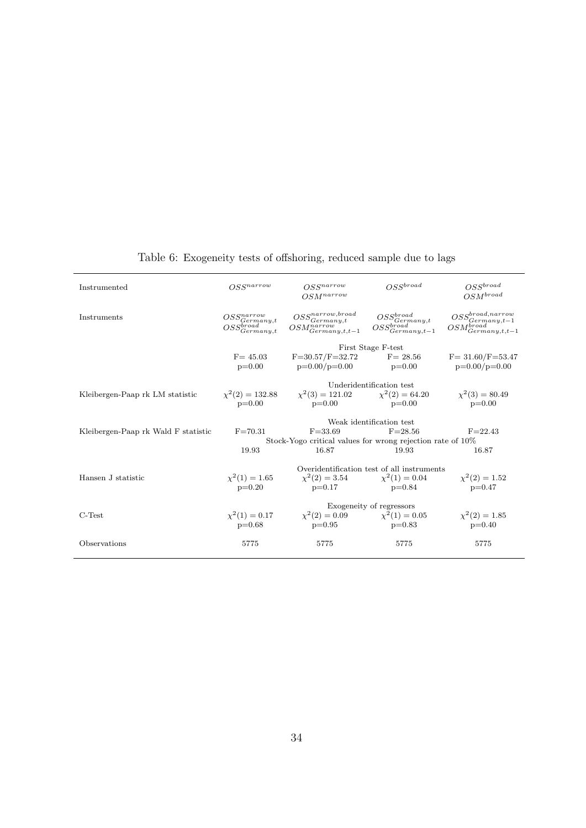| Instrumented                        | $OSS^{narrow}$                                                                   | OSS <sub>narrow</sub><br>$OSM^{narrow}$                                                       | $OSS^{broad}$                                    | $OSS^{broad}$<br>$OSM^{broad}$                                                                    |  |  |  |  |
|-------------------------------------|----------------------------------------------------------------------------------|-----------------------------------------------------------------------------------------------|--------------------------------------------------|---------------------------------------------------------------------------------------------------|--|--|--|--|
| Instruments                         | $\begin{array}{c} OSS^{narrow}_{Germany,t}\ OSS^{broad}_{Germany,t} \end{array}$ | $\begin{array}{c} OSS^{narrow, broad}_{Germany,t} \ OSM^{narrow}_{Germany,t,t-1} \end{array}$ | $\underset{OSS^{broad}_{Germany,t}}{OS^{broad}}$ | $\begin{array}{c} OSS^{broad, narrow}_{Germany, t-1} \ OSM^{broad}_{Germany, t, t-1} \end{array}$ |  |  |  |  |
|                                     |                                                                                  |                                                                                               | First Stage F-test                               |                                                                                                   |  |  |  |  |
|                                     | $F = 45.03$<br>$p=0.00$                                                          | $F=30.57/F=32.72$<br>$p=0.00/p=0.00$                                                          | $F = 28.56$<br>$p=0.00$                          | $F = 31.60/F = 53.47$<br>$p=0.00/p=0.00$                                                          |  |  |  |  |
|                                     |                                                                                  |                                                                                               | Underidentification test                         |                                                                                                   |  |  |  |  |
| Kleibergen-Paap rk LM statistic     | $p=0.00$                                                                         | $\chi^2(2) = 132.88$ $\chi^2(3) = 121.02$ $\chi^2(2) = 64.20$<br>$p=0.00$                     | $p=0.00$                                         | $\chi^2(3) = 80.49$<br>$p=0.00$                                                                   |  |  |  |  |
|                                     |                                                                                  |                                                                                               | Weak identification test                         |                                                                                                   |  |  |  |  |
| Kleibergen-Paap rk Wald F statistic | $F = 70.31$                                                                      | $F = 33.69$                                                                                   | $F = 28.56$                                      | $F = 22.43$                                                                                       |  |  |  |  |
|                                     | Stock-Yogo critical values for wrong rejection rate of 10%                       |                                                                                               |                                                  |                                                                                                   |  |  |  |  |
|                                     | 19.93                                                                            | 16.87                                                                                         | 19.93                                            | 16.87                                                                                             |  |  |  |  |
|                                     |                                                                                  |                                                                                               | Overidentification test of all instruments       |                                                                                                   |  |  |  |  |
| Hansen J statistic                  | $\chi^2(1) = 1.65$                                                               |                                                                                               | $\chi^2(2) = 3.54$ $\chi^2(1) = 0.04$            | $\chi^2(2) = 1.52$                                                                                |  |  |  |  |
|                                     | $p=0.20$                                                                         | $p=0.17$                                                                                      | $p=0.84$                                         | $p=0.47$                                                                                          |  |  |  |  |
|                                     |                                                                                  |                                                                                               | Exogeneity of regressors                         |                                                                                                   |  |  |  |  |
| $C-Test$                            |                                                                                  | $\chi^2(1) = 0.17$ $\chi^2(2) = 0.09$ $\chi^2(1) = 0.05$                                      |                                                  | $\chi^2(2) = 1.85$                                                                                |  |  |  |  |
|                                     | $p=0.68$                                                                         | $p=0.95$                                                                                      | $p=0.83$                                         | $p=0.40$                                                                                          |  |  |  |  |
| Observations                        | 5775                                                                             | 5775                                                                                          | 5775                                             | 5775                                                                                              |  |  |  |  |

#### Table 6: Exogeneity tests of offshoring, reduced sample due to lags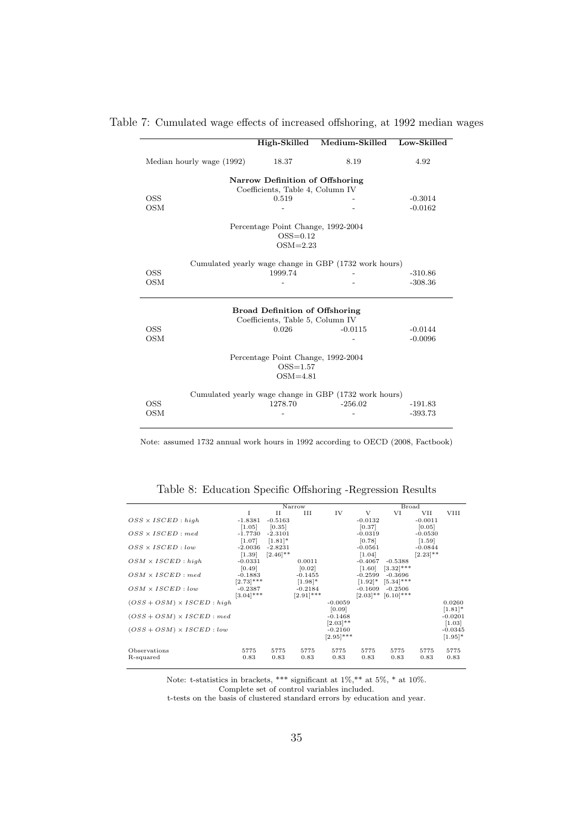|                           | High-Skilled                                                     | Medium-Skilled Low-Skilled |           |
|---------------------------|------------------------------------------------------------------|----------------------------|-----------|
| Median hourly wage (1992) | 18.37                                                            | 8.19                       | 4.92      |
|                           | Narrow Definition of Offshoring                                  |                            |           |
|                           | Coefficients, Table 4, Column IV                                 |                            |           |
| <b>OSS</b>                | 0.519                                                            |                            | $-0.3014$ |
| <b>OSM</b>                |                                                                  |                            | $-0.0162$ |
|                           | Percentage Point Change, 1992-2004                               |                            |           |
|                           | $OSS=0.12$                                                       |                            |           |
|                           | $OSM=2.23$                                                       |                            |           |
|                           | Cumulated yearly wage change in GBP (1732 work hours)            |                            |           |
| <b>OSS</b>                | 1999.74                                                          |                            | $-310.86$ |
| <b>OSM</b>                |                                                                  |                            | $-308.36$ |
|                           | <b>Broad Definition of Offshoring</b>                            |                            |           |
|                           | Coefficients, Table 5, Column IV                                 |                            |           |
| <b>OSS</b>                | 0.026                                                            | $-0.0115$                  | $-0.0144$ |
| <b>OSM</b>                |                                                                  |                            | $-0.0096$ |
|                           | Percentage Point Change, 1992-2004<br>$OSS=1.57$<br>$OSM=4.81$   |                            |           |
| <b>OSS</b>                | Cumulated yearly wage change in GBP (1732 work hours)<br>1278.70 | $-256.02$                  | $-191.83$ |

#### Table 7: Cumulated wage effects of increased offshoring, at 1992 median wages

Note: assumed 1732 annual work hours in 1992 according to OECD (2008, Factbook)

|                                   |              |             | Narrow       |              |             | <b>Broad</b> |             |            |
|-----------------------------------|--------------|-------------|--------------|--------------|-------------|--------------|-------------|------------|
|                                   | T            | $_{\rm II}$ | Ш            | IV           | V           | VI           | <b>VII</b>  | VIII       |
| $OSS \times ISCED$ : high         | $-1.8381$    | $-0.5163$   |              |              | $-0.0132$   |              | $-0.0011$   |            |
|                                   | [1.05]       | [0.35]      |              |              | [0.37]      |              | [0.05]      |            |
| $OSS \times ISCED : med$          | $-1.7730$    | $-2.3101$   |              |              | $-0.0319$   |              | $-0.0530$   |            |
|                                   | [1.07]       | $[1.81]$ *  |              |              | [0.78]      |              | [1.59]      |            |
| $OSS \times ISCED$ : low          | $-2.0036$    | $-2.8231$   |              |              | $-0.0561$   |              | $-0.0844$   |            |
|                                   | [1.39]       | $[2.46]$ ** |              |              | [1.04]      |              | $[2.23]$ ** |            |
| $OSM \times ISCED$ : high         | $-0.0331$    |             | 0.0011       |              | $-0.4067$   | $-0.5388$    |             |            |
|                                   | [0.49]       |             | [0.02]       |              | [1.60]      | $[3.32]$ *** |             |            |
| $OSM \times ISCED$ ; med          | $-0.1883$    |             | $-0.1455$    |              | $-0.2599$   | $-0.3696$    |             |            |
|                                   | $[2.73]$ *** |             | $[1.98]$ *   |              | $[1.92]$ *  | $[5.34]$ *** |             |            |
| $OSM \times ISCED$ : low          | $-0.2387$    |             | $-0.2184$    |              | $-0.1609$   | $-0.2506$    |             |            |
|                                   | $[3.04]$ *** |             | $[2.91]$ *** |              | $[2.03]$ ** | $[6.10]$ *** |             |            |
| $(OSS + OSM) \times ISCED$ : high |              |             |              | $-0.0059$    |             |              |             | 0.0260     |
|                                   |              |             |              | [0.09]       |             |              |             | $[1.81]$ * |
| $(OSS + OSM) \times ISCED : med$  |              |             |              | $-0.1468$    |             |              |             | $-0.0201$  |
|                                   |              |             |              | $[2.03]$ **  |             |              |             | [1.03]     |
| $(OSS + OSM) \times ISCED : low$  |              |             |              | $-0.2160$    |             |              |             | $-0.0345$  |
|                                   |              |             |              | $[2.95]$ *** |             |              |             | $[1.95]$ * |
| Observations                      | 5775         | 5775        | 5775         | 5775         | 5775        | 5775         | 5775        | 5775       |
| R-squared                         | 0.83         | 0.83        | 0.83         | 0.83         | 0.83        | 0.83         | 0.83        | 0.83       |

Table 8: Education Specific Offshoring -Regression Results

Note: t-statistics in brackets, \*\*\* significant at  $1\%,$ \*\* at  $5\%,$ \* at  $10\%$ . Complete set of control variables included.

t-tests on the basis of clustered standard errors by education and year.